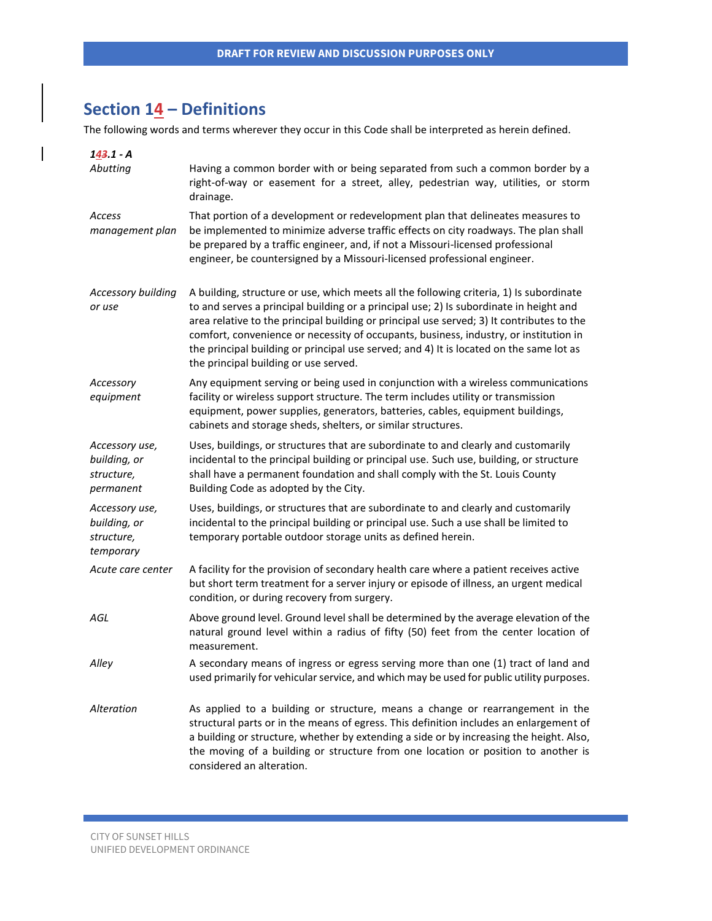# **Section 14 – Definitions**

The following words and terms wherever they occur in this Code shall be interpreted as herein defined.

| $143.1 - A$                                               |                                                                                                                                                                                                                                                                                                                                                                                                                                                                                                             |
|-----------------------------------------------------------|-------------------------------------------------------------------------------------------------------------------------------------------------------------------------------------------------------------------------------------------------------------------------------------------------------------------------------------------------------------------------------------------------------------------------------------------------------------------------------------------------------------|
| Abutting                                                  | Having a common border with or being separated from such a common border by a<br>right-of-way or easement for a street, alley, pedestrian way, utilities, or storm<br>drainage.                                                                                                                                                                                                                                                                                                                             |
| Access<br>management plan                                 | That portion of a development or redevelopment plan that delineates measures to<br>be implemented to minimize adverse traffic effects on city roadways. The plan shall<br>be prepared by a traffic engineer, and, if not a Missouri-licensed professional<br>engineer, be countersigned by a Missouri-licensed professional engineer.                                                                                                                                                                       |
| <b>Accessory building</b><br>or use                       | A building, structure or use, which meets all the following criteria, 1) Is subordinate<br>to and serves a principal building or a principal use; 2) Is subordinate in height and<br>area relative to the principal building or principal use served; 3) It contributes to the<br>comfort, convenience or necessity of occupants, business, industry, or institution in<br>the principal building or principal use served; and 4) It is located on the same lot as<br>the principal building or use served. |
| Accessory<br>equipment                                    | Any equipment serving or being used in conjunction with a wireless communications<br>facility or wireless support structure. The term includes utility or transmission<br>equipment, power supplies, generators, batteries, cables, equipment buildings,<br>cabinets and storage sheds, shelters, or similar structures.                                                                                                                                                                                    |
| Accessory use,<br>building, or<br>structure,<br>permanent | Uses, buildings, or structures that are subordinate to and clearly and customarily<br>incidental to the principal building or principal use. Such use, building, or structure<br>shall have a permanent foundation and shall comply with the St. Louis County<br>Building Code as adopted by the City.                                                                                                                                                                                                      |
| Accessory use,<br>building, or<br>structure,<br>temporary | Uses, buildings, or structures that are subordinate to and clearly and customarily<br>incidental to the principal building or principal use. Such a use shall be limited to<br>temporary portable outdoor storage units as defined herein.                                                                                                                                                                                                                                                                  |
| Acute care center                                         | A facility for the provision of secondary health care where a patient receives active<br>but short term treatment for a server injury or episode of illness, an urgent medical<br>condition, or during recovery from surgery.                                                                                                                                                                                                                                                                               |
| AGL                                                       | Above ground level. Ground level shall be determined by the average elevation of the<br>natural ground level within a radius of fifty (50) feet from the center location of<br>measurement.                                                                                                                                                                                                                                                                                                                 |
| Alley                                                     | A secondary means of ingress or egress serving more than one (1) tract of land and<br>used primarily for vehicular service, and which may be used for public utility purposes.                                                                                                                                                                                                                                                                                                                              |
| Alteration                                                | As applied to a building or structure, means a change or rearrangement in the<br>structural parts or in the means of egress. This definition includes an enlargement of<br>a building or structure, whether by extending a side or by increasing the height. Also,<br>the moving of a building or structure from one location or position to another is<br>considered an alteration.                                                                                                                        |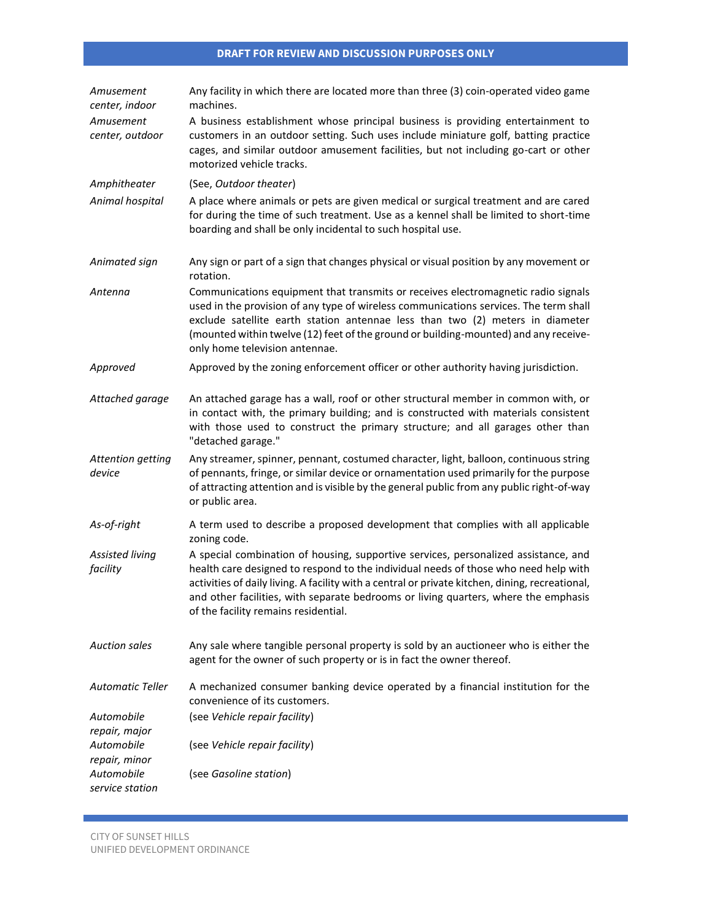| Amusement<br>center, indoor   | Any facility in which there are located more than three (3) coin-operated video game<br>machines.                                                                                                                                                                                                                                                                                                            |
|-------------------------------|--------------------------------------------------------------------------------------------------------------------------------------------------------------------------------------------------------------------------------------------------------------------------------------------------------------------------------------------------------------------------------------------------------------|
| Amusement<br>center, outdoor  | A business establishment whose principal business is providing entertainment to<br>customers in an outdoor setting. Such uses include miniature golf, batting practice<br>cages, and similar outdoor amusement facilities, but not including go-cart or other<br>motorized vehicle tracks.                                                                                                                   |
| Amphitheater                  | (See, Outdoor theater)                                                                                                                                                                                                                                                                                                                                                                                       |
| Animal hospital               | A place where animals or pets are given medical or surgical treatment and are cared<br>for during the time of such treatment. Use as a kennel shall be limited to short-time<br>boarding and shall be only incidental to such hospital use.                                                                                                                                                                  |
| Animated sign                 | Any sign or part of a sign that changes physical or visual position by any movement or<br>rotation.                                                                                                                                                                                                                                                                                                          |
| Antenna                       | Communications equipment that transmits or receives electromagnetic radio signals<br>used in the provision of any type of wireless communications services. The term shall<br>exclude satellite earth station antennae less than two (2) meters in diameter<br>(mounted within twelve (12) feet of the ground or building-mounted) and any receive-<br>only home television antennae.                        |
| Approved                      | Approved by the zoning enforcement officer or other authority having jurisdiction.                                                                                                                                                                                                                                                                                                                           |
| Attached garage               | An attached garage has a wall, roof or other structural member in common with, or<br>in contact with, the primary building; and is constructed with materials consistent<br>with those used to construct the primary structure; and all garages other than<br>"detached garage."                                                                                                                             |
| Attention getting<br>device   | Any streamer, spinner, pennant, costumed character, light, balloon, continuous string<br>of pennants, fringe, or similar device or ornamentation used primarily for the purpose<br>of attracting attention and is visible by the general public from any public right-of-way<br>or public area.                                                                                                              |
| As-of-right                   | A term used to describe a proposed development that complies with all applicable<br>zoning code.                                                                                                                                                                                                                                                                                                             |
| Assisted living<br>facility   | A special combination of housing, supportive services, personalized assistance, and<br>health care designed to respond to the individual needs of those who need help with<br>activities of daily living. A facility with a central or private kitchen, dining, recreational,<br>and other facilities, with separate bedrooms or living quarters, where the emphasis<br>of the facility remains residential. |
| <b>Auction sales</b>          | Any sale where tangible personal property is sold by an auctioneer who is either the<br>agent for the owner of such property or is in fact the owner thereof.                                                                                                                                                                                                                                                |
| <b>Automatic Teller</b>       | A mechanized consumer banking device operated by a financial institution for the<br>convenience of its customers.                                                                                                                                                                                                                                                                                            |
| Automobile<br>repair, major   | (see Vehicle repair facility)                                                                                                                                                                                                                                                                                                                                                                                |
| Automobile<br>repair, minor   | (see Vehicle repair facility)                                                                                                                                                                                                                                                                                                                                                                                |
| Automobile<br>service station | (see Gasoline station)                                                                                                                                                                                                                                                                                                                                                                                       |

 $\mathcal{L}^{\text{max}}_{\text{max}}$  and  $\mathcal{L}^{\text{max}}_{\text{max}}$  and  $\mathcal{L}^{\text{max}}_{\text{max}}$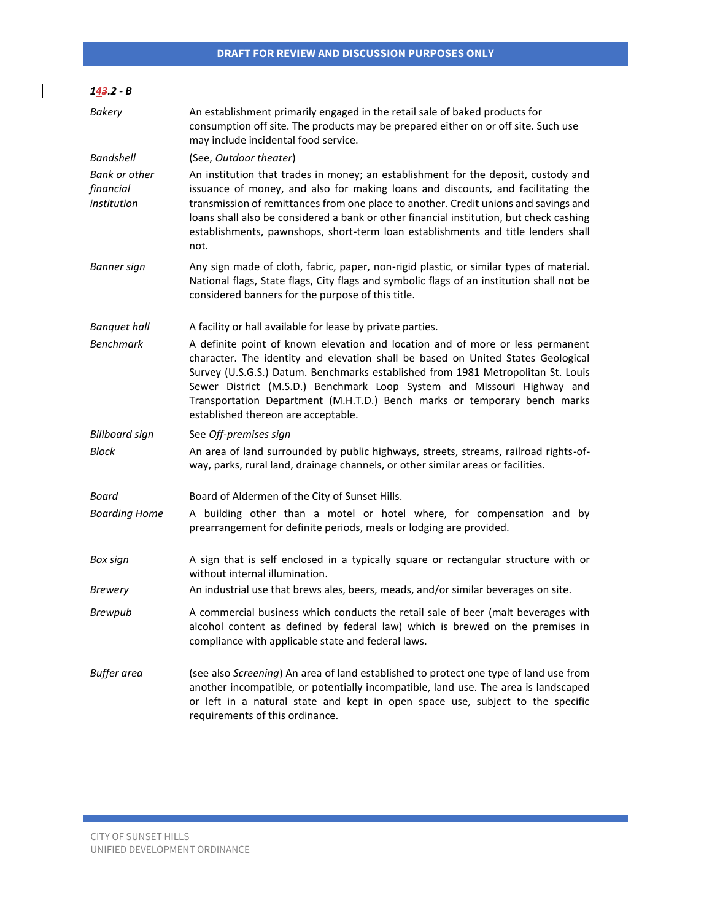| $143.2 - B$                               |                                                                                                                                                                                                                                                                                                                                                                                                                                                        |
|-------------------------------------------|--------------------------------------------------------------------------------------------------------------------------------------------------------------------------------------------------------------------------------------------------------------------------------------------------------------------------------------------------------------------------------------------------------------------------------------------------------|
| <b>Bakery</b>                             | An establishment primarily engaged in the retail sale of baked products for<br>consumption off site. The products may be prepared either on or off site. Such use<br>may include incidental food service.                                                                                                                                                                                                                                              |
| Bandshell                                 | (See, Outdoor theater)                                                                                                                                                                                                                                                                                                                                                                                                                                 |
| Bank or other<br>financial<br>institution | An institution that trades in money; an establishment for the deposit, custody and<br>issuance of money, and also for making loans and discounts, and facilitating the<br>transmission of remittances from one place to another. Credit unions and savings and<br>loans shall also be considered a bank or other financial institution, but check cashing<br>establishments, pawnshops, short-term loan establishments and title lenders shall<br>not. |
| Banner sign                               | Any sign made of cloth, fabric, paper, non-rigid plastic, or similar types of material.<br>National flags, State flags, City flags and symbolic flags of an institution shall not be<br>considered banners for the purpose of this title.                                                                                                                                                                                                              |
| <b>Banquet hall</b>                       | A facility or hall available for lease by private parties.                                                                                                                                                                                                                                                                                                                                                                                             |
| <b>Benchmark</b>                          | A definite point of known elevation and location and of more or less permanent<br>character. The identity and elevation shall be based on United States Geological<br>Survey (U.S.G.S.) Datum. Benchmarks established from 1981 Metropolitan St. Louis<br>Sewer District (M.S.D.) Benchmark Loop System and Missouri Highway and<br>Transportation Department (M.H.T.D.) Bench marks or temporary bench marks<br>established thereon are acceptable.   |
| <b>Billboard sign</b>                     | See Off-premises sign                                                                                                                                                                                                                                                                                                                                                                                                                                  |
| <b>Block</b>                              | An area of land surrounded by public highways, streets, streams, railroad rights-of-<br>way, parks, rural land, drainage channels, or other similar areas or facilities.                                                                                                                                                                                                                                                                               |
| Board                                     | Board of Aldermen of the City of Sunset Hills.                                                                                                                                                                                                                                                                                                                                                                                                         |
| <b>Boarding Home</b>                      | A building other than a motel or hotel where, for compensation and by<br>prearrangement for definite periods, meals or lodging are provided.                                                                                                                                                                                                                                                                                                           |
| Box sign                                  | A sign that is self enclosed in a typically square or rectangular structure with or<br>without internal illumination.                                                                                                                                                                                                                                                                                                                                  |
| <b>Brewery</b>                            | An industrial use that brews ales, beers, meads, and/or similar beverages on site.                                                                                                                                                                                                                                                                                                                                                                     |
| <b>Brewpub</b>                            | A commercial business which conducts the retail sale of beer (malt beverages with<br>alcohol content as defined by federal law) which is brewed on the premises in<br>compliance with applicable state and federal laws.                                                                                                                                                                                                                               |
| <b>Buffer</b> area                        | (see also Screening) An area of land established to protect one type of land use from<br>another incompatible, or potentially incompatible, land use. The area is landscaped<br>or left in a natural state and kept in open space use, subject to the specific<br>requirements of this ordinance.                                                                                                                                                      |

a sa kacamatan ing Kabupatèn Kabupatèn Kabupatèn Kabupatèn Kabupatèn Kabupatèn Kabupatèn Kabupatèn Kabupatèn K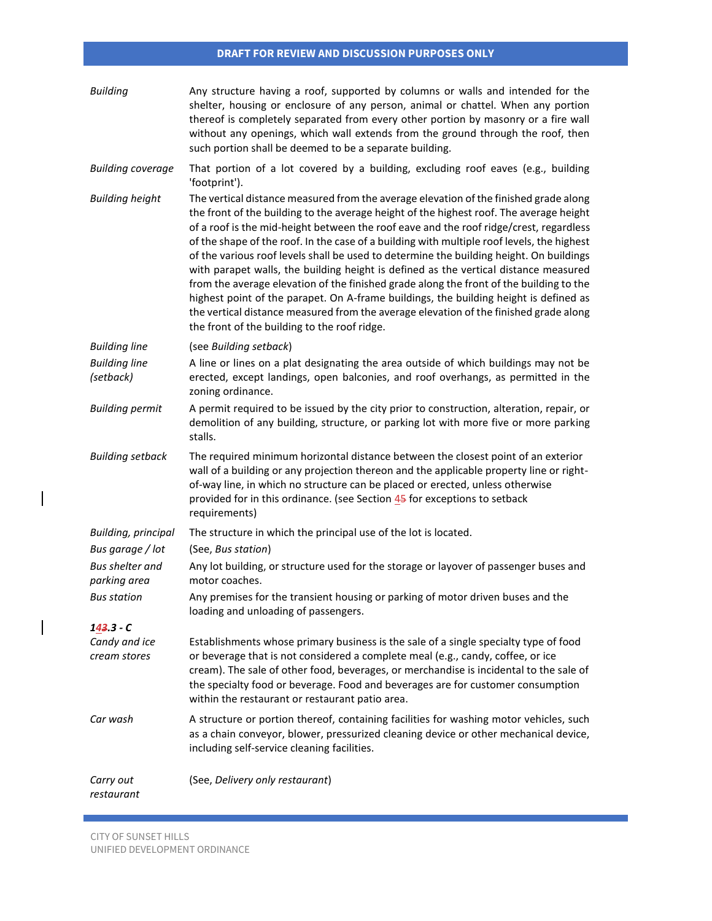| <b>Building</b>                        | Any structure having a roof, supported by columns or walls and intended for the<br>shelter, housing or enclosure of any person, animal or chattel. When any portion<br>thereof is completely separated from every other portion by masonry or a fire wall<br>without any openings, which wall extends from the ground through the roof, then<br>such portion shall be deemed to be a separate building.                                                                                                                                                                                                                                                                                                                                                                                                                                                                                  |
|----------------------------------------|------------------------------------------------------------------------------------------------------------------------------------------------------------------------------------------------------------------------------------------------------------------------------------------------------------------------------------------------------------------------------------------------------------------------------------------------------------------------------------------------------------------------------------------------------------------------------------------------------------------------------------------------------------------------------------------------------------------------------------------------------------------------------------------------------------------------------------------------------------------------------------------|
| <b>Building coverage</b>               | That portion of a lot covered by a building, excluding roof eaves (e.g., building<br>'footprint').                                                                                                                                                                                                                                                                                                                                                                                                                                                                                                                                                                                                                                                                                                                                                                                       |
| <b>Building height</b>                 | The vertical distance measured from the average elevation of the finished grade along<br>the front of the building to the average height of the highest roof. The average height<br>of a roof is the mid-height between the roof eave and the roof ridge/crest, regardless<br>of the shape of the roof. In the case of a building with multiple roof levels, the highest<br>of the various roof levels shall be used to determine the building height. On buildings<br>with parapet walls, the building height is defined as the vertical distance measured<br>from the average elevation of the finished grade along the front of the building to the<br>highest point of the parapet. On A-frame buildings, the building height is defined as<br>the vertical distance measured from the average elevation of the finished grade along<br>the front of the building to the roof ridge. |
| <b>Building line</b>                   | (see Building setback)                                                                                                                                                                                                                                                                                                                                                                                                                                                                                                                                                                                                                                                                                                                                                                                                                                                                   |
| <b>Building line</b><br>(setback)      | A line or lines on a plat designating the area outside of which buildings may not be<br>erected, except landings, open balconies, and roof overhangs, as permitted in the<br>zoning ordinance.                                                                                                                                                                                                                                                                                                                                                                                                                                                                                                                                                                                                                                                                                           |
| <b>Building permit</b>                 | A permit required to be issued by the city prior to construction, alteration, repair, or<br>demolition of any building, structure, or parking lot with more five or more parking<br>stalls.                                                                                                                                                                                                                                                                                                                                                                                                                                                                                                                                                                                                                                                                                              |
| <b>Building setback</b>                | The required minimum horizontal distance between the closest point of an exterior<br>wall of a building or any projection thereon and the applicable property line or right-<br>of-way line, in which no structure can be placed or erected, unless otherwise<br>provided for in this ordinance. (see Section 45 for exceptions to setback<br>requirements)                                                                                                                                                                                                                                                                                                                                                                                                                                                                                                                              |
| Building, principal                    | The structure in which the principal use of the lot is located.                                                                                                                                                                                                                                                                                                                                                                                                                                                                                                                                                                                                                                                                                                                                                                                                                          |
| Bus garage / lot                       | (See, Bus station)                                                                                                                                                                                                                                                                                                                                                                                                                                                                                                                                                                                                                                                                                                                                                                                                                                                                       |
| <b>Bus shelter and</b><br>parking area | Any lot building, or structure used for the storage or layover of passenger buses and<br>motor coaches.                                                                                                                                                                                                                                                                                                                                                                                                                                                                                                                                                                                                                                                                                                                                                                                  |
| <b>Bus station</b>                     | Any premises for the transient housing or parking of motor driven buses and the<br>loading and unloading of passengers.                                                                                                                                                                                                                                                                                                                                                                                                                                                                                                                                                                                                                                                                                                                                                                  |
| 143.3 - C                              |                                                                                                                                                                                                                                                                                                                                                                                                                                                                                                                                                                                                                                                                                                                                                                                                                                                                                          |
| Candy and ice<br>cream stores          | Establishments whose primary business is the sale of a single specialty type of food<br>or beverage that is not considered a complete meal (e.g., candy, coffee, or ice<br>cream). The sale of other food, beverages, or merchandise is incidental to the sale of<br>the specialty food or beverage. Food and beverages are for customer consumption<br>within the restaurant or restaurant patio area.                                                                                                                                                                                                                                                                                                                                                                                                                                                                                  |
| Car wash                               | A structure or portion thereof, containing facilities for washing motor vehicles, such<br>as a chain conveyor, blower, pressurized cleaning device or other mechanical device,<br>including self-service cleaning facilities.                                                                                                                                                                                                                                                                                                                                                                                                                                                                                                                                                                                                                                                            |
| Carry out<br>restaurant                | (See, Delivery only restaurant)                                                                                                                                                                                                                                                                                                                                                                                                                                                                                                                                                                                                                                                                                                                                                                                                                                                          |

 $\overline{\phantom{a}}$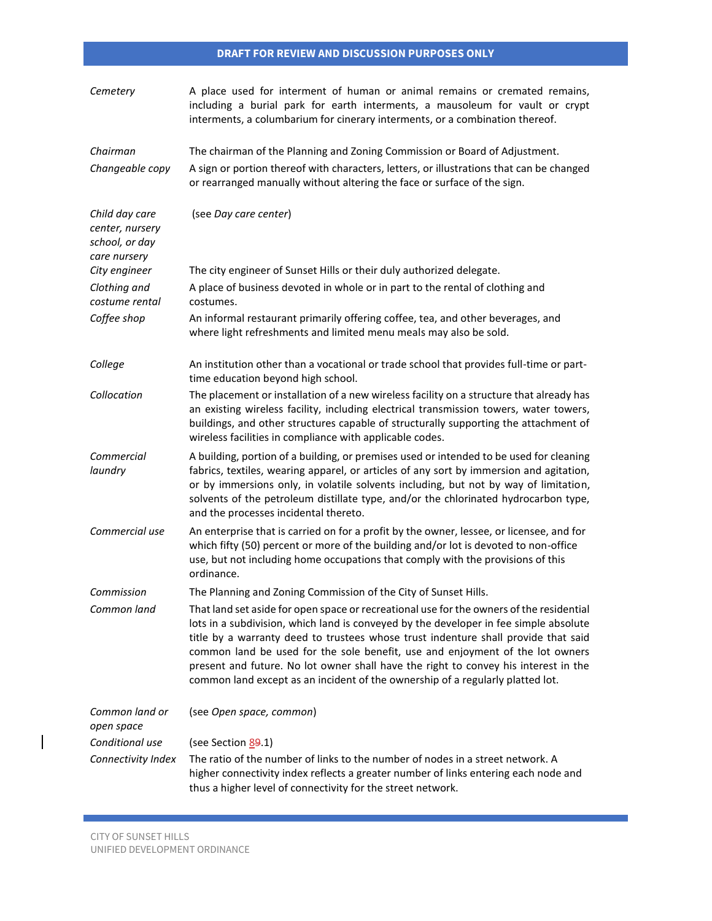| Cemetery                                                            | A place used for interment of human or animal remains or cremated remains,<br>including a burial park for earth interments, a mausoleum for vault or crypt<br>interments, a columbarium for cinerary interments, or a combination thereof.                                                                                                                                                                                                                                                                                        |
|---------------------------------------------------------------------|-----------------------------------------------------------------------------------------------------------------------------------------------------------------------------------------------------------------------------------------------------------------------------------------------------------------------------------------------------------------------------------------------------------------------------------------------------------------------------------------------------------------------------------|
| Chairman<br>Changeable copy                                         | The chairman of the Planning and Zoning Commission or Board of Adjustment.<br>A sign or portion thereof with characters, letters, or illustrations that can be changed<br>or rearranged manually without altering the face or surface of the sign.                                                                                                                                                                                                                                                                                |
| Child day care<br>center, nursery<br>school, or day<br>care nursery | (see Day care center)                                                                                                                                                                                                                                                                                                                                                                                                                                                                                                             |
| City engineer                                                       | The city engineer of Sunset Hills or their duly authorized delegate.                                                                                                                                                                                                                                                                                                                                                                                                                                                              |
| Clothing and<br>costume rental                                      | A place of business devoted in whole or in part to the rental of clothing and<br>costumes.                                                                                                                                                                                                                                                                                                                                                                                                                                        |
| Coffee shop                                                         | An informal restaurant primarily offering coffee, tea, and other beverages, and<br>where light refreshments and limited menu meals may also be sold.                                                                                                                                                                                                                                                                                                                                                                              |
| College                                                             | An institution other than a vocational or trade school that provides full-time or part-<br>time education beyond high school.                                                                                                                                                                                                                                                                                                                                                                                                     |
| Collocation                                                         | The placement or installation of a new wireless facility on a structure that already has<br>an existing wireless facility, including electrical transmission towers, water towers,<br>buildings, and other structures capable of structurally supporting the attachment of<br>wireless facilities in compliance with applicable codes.                                                                                                                                                                                            |
| Commercial<br>laundry                                               | A building, portion of a building, or premises used or intended to be used for cleaning<br>fabrics, textiles, wearing apparel, or articles of any sort by immersion and agitation,<br>or by immersions only, in volatile solvents including, but not by way of limitation,<br>solvents of the petroleum distillate type, and/or the chlorinated hydrocarbon type,<br>and the processes incidental thereto.                                                                                                                        |
| Commercial use                                                      | An enterprise that is carried on for a profit by the owner, lessee, or licensee, and for<br>which fifty (50) percent or more of the building and/or lot is devoted to non-office<br>use, but not including home occupations that comply with the provisions of this<br>ordinance.                                                                                                                                                                                                                                                 |
| Commission                                                          | The Planning and Zoning Commission of the City of Sunset Hills.                                                                                                                                                                                                                                                                                                                                                                                                                                                                   |
| Common land                                                         | That land set aside for open space or recreational use for the owners of the residential<br>lots in a subdivision, which land is conveyed by the developer in fee simple absolute<br>title by a warranty deed to trustees whose trust indenture shall provide that said<br>common land be used for the sole benefit, use and enjoyment of the lot owners<br>present and future. No lot owner shall have the right to convey his interest in the<br>common land except as an incident of the ownership of a regularly platted lot. |
| Common land or<br>open space                                        | (see Open space, common)                                                                                                                                                                                                                                                                                                                                                                                                                                                                                                          |
| Conditional use                                                     | (see Section 89.1)                                                                                                                                                                                                                                                                                                                                                                                                                                                                                                                |
| Connectivity Index                                                  | The ratio of the number of links to the number of nodes in a street network. A<br>higher connectivity index reflects a greater number of links entering each node and<br>thus a higher level of connectivity for the street network.                                                                                                                                                                                                                                                                                              |

 $\mathcal{L}(\mathcal{L}^{\mathcal{L}}_{\mathcal{L}})$  and the set of the set of the set of the set of the set of the set of the set of the set of the set of the set of the set of the set of the set of the set of the set of the set of the set of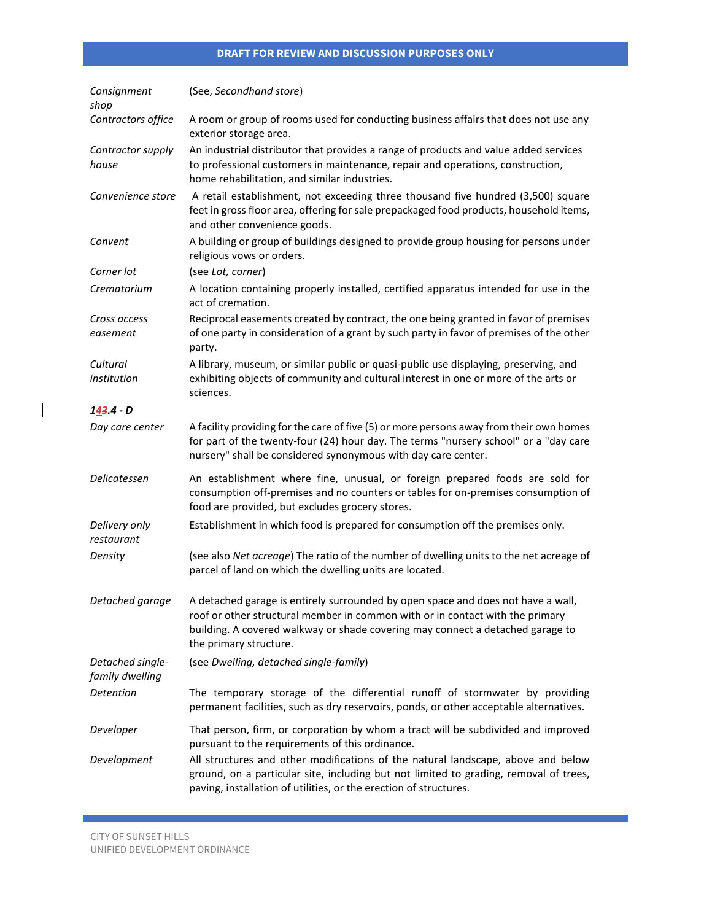| Consignment<br>shop                 | (See, Secondhand store)                                                                                                                                                                                                                                                       |
|-------------------------------------|-------------------------------------------------------------------------------------------------------------------------------------------------------------------------------------------------------------------------------------------------------------------------------|
| Contractors office                  | A room or group of rooms used for conducting business affairs that does not use any<br>exterior storage area.                                                                                                                                                                 |
| Contractor supply<br>house          | An industrial distributor that provides a range of products and value added services<br>to professional customers in maintenance, repair and operations, construction,<br>home rehabilitation, and similar industries.                                                        |
| Convenience store                   | A retail establishment, not exceeding three thousand five hundred (3,500) square<br>feet in gross floor area, offering for sale prepackaged food products, household items,<br>and other convenience goods.                                                                   |
| Convent                             | A building or group of buildings designed to provide group housing for persons under<br>religious vows or orders.                                                                                                                                                             |
| Corner lot                          | (see Lot, corner)                                                                                                                                                                                                                                                             |
| Crematorium                         | A location containing properly installed, certified apparatus intended for use in the<br>act of cremation.                                                                                                                                                                    |
| Cross access<br>easement            | Reciprocal easements created by contract, the one being granted in favor of premises<br>of one party in consideration of a grant by such party in favor of premises of the other<br>party.                                                                                    |
| Cultural<br>institution             | A library, museum, or similar public or quasi-public use displaying, preserving, and<br>exhibiting objects of community and cultural interest in one or more of the arts or<br>sciences.                                                                                      |
| 143.4 - D                           |                                                                                                                                                                                                                                                                               |
| Day care center                     | A facility providing for the care of five (5) or more persons away from their own homes<br>for part of the twenty-four (24) hour day. The terms "nursery school" or a "day care<br>nursery" shall be considered synonymous with day care center.                              |
| Delicatessen                        | An establishment where fine, unusual, or foreign prepared foods are sold for<br>consumption off-premises and no counters or tables for on-premises consumption of<br>food are provided, but excludes grocery stores.                                                          |
| Delivery only<br>restaurant         | Establishment in which food is prepared for consumption off the premises only.                                                                                                                                                                                                |
| Density                             | (see also Net acreage) The ratio of the number of dwelling units to the net acreage of<br>parcel of land on which the dwelling units are located.                                                                                                                             |
| Detached garage                     | A detached garage is entirely surrounded by open space and does not have a wall,<br>roof or other structural member in common with or in contact with the primary<br>building. A covered walkway or shade covering may connect a detached garage to<br>the primary structure. |
| Detached single-<br>family dwelling | (see Dwelling, detached single-family)                                                                                                                                                                                                                                        |
| Detention                           | The temporary storage of the differential runoff of stormwater by providing<br>permanent facilities, such as dry reservoirs, ponds, or other acceptable alternatives.                                                                                                         |
| Developer                           | That person, firm, or corporation by whom a tract will be subdivided and improved<br>pursuant to the requirements of this ordinance.                                                                                                                                          |
| Development                         | All structures and other modifications of the natural landscape, above and below<br>ground, on a particular site, including but not limited to grading, removal of trees,<br>paving, installation of utilities, or the erection of structures.                                |

 $\mathcal{L}(\mathcal{L}^{\mathcal{L}}_{\mathcal{L}})$  and the set of the set of the set of the set of the set of the set of the set of the set of the set of the set of the set of the set of the set of the set of the set of the set of the set of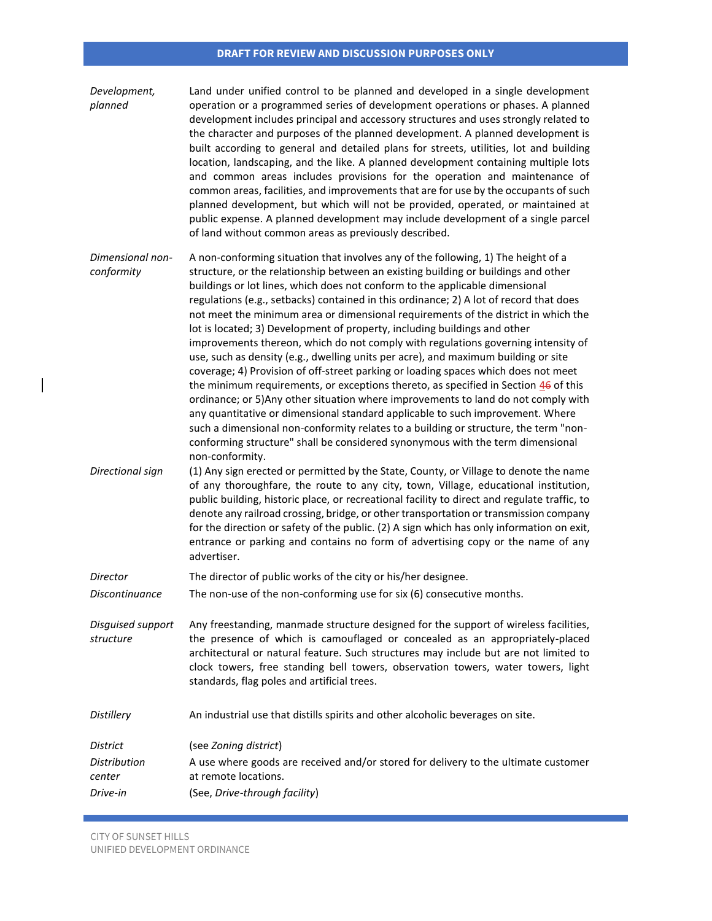| Development,<br>planned            | Land under unified control to be planned and developed in a single development<br>operation or a programmed series of development operations or phases. A planned<br>development includes principal and accessory structures and uses strongly related to<br>the character and purposes of the planned development. A planned development is<br>built according to general and detailed plans for streets, utilities, lot and building<br>location, landscaping, and the like. A planned development containing multiple lots<br>and common areas includes provisions for the operation and maintenance of<br>common areas, facilities, and improvements that are for use by the occupants of such<br>planned development, but which will not be provided, operated, or maintained at<br>public expense. A planned development may include development of a single parcel<br>of land without common areas as previously described.                                                                                                                                                                                                                                                                                                                  |
|------------------------------------|-----------------------------------------------------------------------------------------------------------------------------------------------------------------------------------------------------------------------------------------------------------------------------------------------------------------------------------------------------------------------------------------------------------------------------------------------------------------------------------------------------------------------------------------------------------------------------------------------------------------------------------------------------------------------------------------------------------------------------------------------------------------------------------------------------------------------------------------------------------------------------------------------------------------------------------------------------------------------------------------------------------------------------------------------------------------------------------------------------------------------------------------------------------------------------------------------------------------------------------------------------|
| Dimensional non-<br>conformity     | A non-conforming situation that involves any of the following, 1) The height of a<br>structure, or the relationship between an existing building or buildings and other<br>buildings or lot lines, which does not conform to the applicable dimensional<br>regulations (e.g., setbacks) contained in this ordinance; 2) A lot of record that does<br>not meet the minimum area or dimensional requirements of the district in which the<br>lot is located; 3) Development of property, including buildings and other<br>improvements thereon, which do not comply with regulations governing intensity of<br>use, such as density (e.g., dwelling units per acre), and maximum building or site<br>coverage; 4) Provision of off-street parking or loading spaces which does not meet<br>the minimum requirements, or exceptions thereto, as specified in Section $46$ of this<br>ordinance; or 5) Any other situation where improvements to land do not comply with<br>any quantitative or dimensional standard applicable to such improvement. Where<br>such a dimensional non-conformity relates to a building or structure, the term "non-<br>conforming structure" shall be considered synonymous with the term dimensional<br>non-conformity. |
| Directional sign                   | (1) Any sign erected or permitted by the State, County, or Village to denote the name<br>of any thoroughfare, the route to any city, town, Village, educational institution,<br>public building, historic place, or recreational facility to direct and regulate traffic, to<br>denote any railroad crossing, bridge, or other transportation or transmission company<br>for the direction or safety of the public. (2) A sign which has only information on exit,<br>entrance or parking and contains no form of advertising copy or the name of any<br>advertiser.                                                                                                                                                                                                                                                                                                                                                                                                                                                                                                                                                                                                                                                                                |
| Director                           | The director of public works of the city or his/her designee.                                                                                                                                                                                                                                                                                                                                                                                                                                                                                                                                                                                                                                                                                                                                                                                                                                                                                                                                                                                                                                                                                                                                                                                       |
| Discontinuance                     | The non-use of the non-conforming use for six (6) consecutive months.                                                                                                                                                                                                                                                                                                                                                                                                                                                                                                                                                                                                                                                                                                                                                                                                                                                                                                                                                                                                                                                                                                                                                                               |
| Disguised support<br>structure     | Any freestanding, manmade structure designed for the support of wireless facilities,<br>the presence of which is camouflaged or concealed as an appropriately-placed<br>architectural or natural feature. Such structures may include but are not limited to<br>clock towers, free standing bell towers, observation towers, water towers, light<br>standards, flag poles and artificial trees.                                                                                                                                                                                                                                                                                                                                                                                                                                                                                                                                                                                                                                                                                                                                                                                                                                                     |
| Distillery                         | An industrial use that distills spirits and other alcoholic beverages on site.                                                                                                                                                                                                                                                                                                                                                                                                                                                                                                                                                                                                                                                                                                                                                                                                                                                                                                                                                                                                                                                                                                                                                                      |
| District                           | (see Zoning district)                                                                                                                                                                                                                                                                                                                                                                                                                                                                                                                                                                                                                                                                                                                                                                                                                                                                                                                                                                                                                                                                                                                                                                                                                               |
| Distribution<br>center<br>Drive-in | A use where goods are received and/or stored for delivery to the ultimate customer<br>at remote locations.<br>(See, Drive-through facility)                                                                                                                                                                                                                                                                                                                                                                                                                                                                                                                                                                                                                                                                                                                                                                                                                                                                                                                                                                                                                                                                                                         |

 $\mathcal{L}(\mathcal{L}^{\mathcal{L}}_{\mathcal{L}})$  and the set of the set of the set of the set of the set of the set of the set of the set of the set of the set of the set of the set of the set of the set of the set of the set of the set of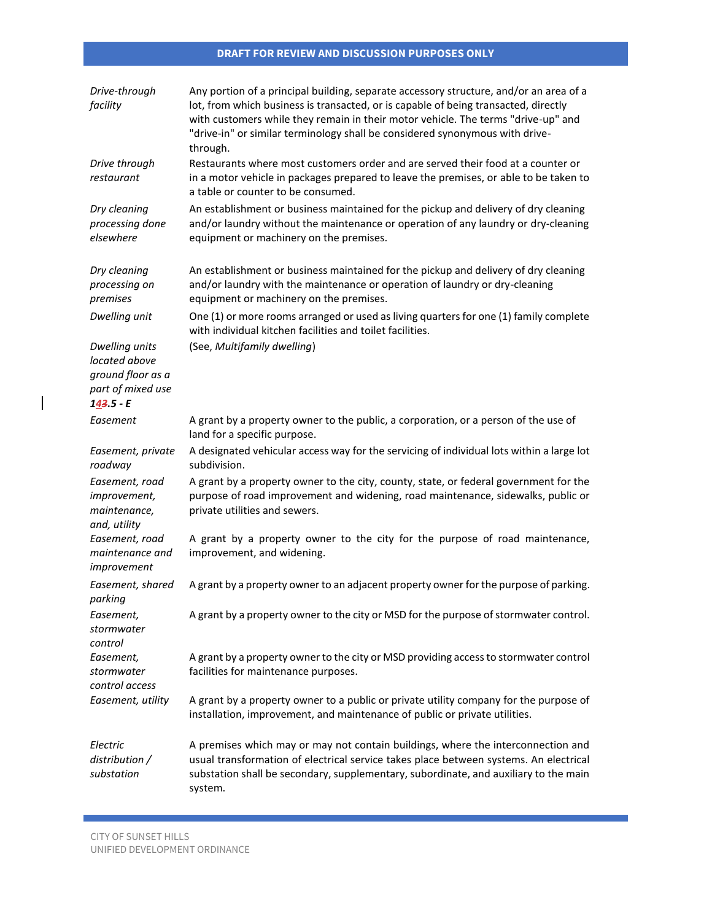| Drive-through<br>facility                                                                | Any portion of a principal building, separate accessory structure, and/or an area of a<br>lot, from which business is transacted, or is capable of being transacted, directly<br>with customers while they remain in their motor vehicle. The terms "drive-up" and<br>"drive-in" or similar terminology shall be considered synonymous with drive-<br>through. |
|------------------------------------------------------------------------------------------|----------------------------------------------------------------------------------------------------------------------------------------------------------------------------------------------------------------------------------------------------------------------------------------------------------------------------------------------------------------|
| Drive through<br>restaurant                                                              | Restaurants where most customers order and are served their food at a counter or<br>in a motor vehicle in packages prepared to leave the premises, or able to be taken to<br>a table or counter to be consumed.                                                                                                                                                |
| Dry cleaning<br>processing done<br>elsewhere                                             | An establishment or business maintained for the pickup and delivery of dry cleaning<br>and/or laundry without the maintenance or operation of any laundry or dry-cleaning<br>equipment or machinery on the premises.                                                                                                                                           |
| Dry cleaning<br>processing on<br>premises                                                | An establishment or business maintained for the pickup and delivery of dry cleaning<br>and/or laundry with the maintenance or operation of laundry or dry-cleaning<br>equipment or machinery on the premises.                                                                                                                                                  |
| Dwelling unit                                                                            | One (1) or more rooms arranged or used as living quarters for one (1) family complete<br>with individual kitchen facilities and toilet facilities.                                                                                                                                                                                                             |
| Dwelling units<br>located above<br>ground floor as a<br>part of mixed use<br>$143.5 - E$ | (See, Multifamily dwelling)                                                                                                                                                                                                                                                                                                                                    |
| Easement                                                                                 | A grant by a property owner to the public, a corporation, or a person of the use of<br>land for a specific purpose.                                                                                                                                                                                                                                            |
| Easement, private<br>roadway                                                             | A designated vehicular access way for the servicing of individual lots within a large lot<br>subdivision.                                                                                                                                                                                                                                                      |
| Easement, road<br>improvement,<br>maintenance,<br>and, utility                           | A grant by a property owner to the city, county, state, or federal government for the<br>purpose of road improvement and widening, road maintenance, sidewalks, public or<br>private utilities and sewers.                                                                                                                                                     |
| Easement, road<br>maintenance and<br>improvement                                         | A grant by a property owner to the city for the purpose of road maintenance,<br>improvement, and widening.                                                                                                                                                                                                                                                     |
| Easement, shared<br>parking                                                              | A grant by a property owner to an adjacent property owner for the purpose of parking.                                                                                                                                                                                                                                                                          |
| Easement,<br>stormwater<br>control                                                       | A grant by a property owner to the city or MSD for the purpose of stormwater control.                                                                                                                                                                                                                                                                          |
| Easement,<br>stormwater<br>control access                                                | A grant by a property owner to the city or MSD providing access to stormwater control<br>facilities for maintenance purposes.                                                                                                                                                                                                                                  |
| Easement, utility                                                                        | A grant by a property owner to a public or private utility company for the purpose of<br>installation, improvement, and maintenance of public or private utilities.                                                                                                                                                                                            |
| Electric<br>distribution /<br>substation                                                 | A premises which may or may not contain buildings, where the interconnection and<br>usual transformation of electrical service takes place between systems. An electrical<br>substation shall be secondary, supplementary, subordinate, and auxiliary to the main<br>system.                                                                                   |

a sa kacamatan ing Kabupatèn Kabupatèn Kabupatèn Kabupatèn Kabupatèn Kabupatèn Kabupatèn Kabupatèn Kabupatèn K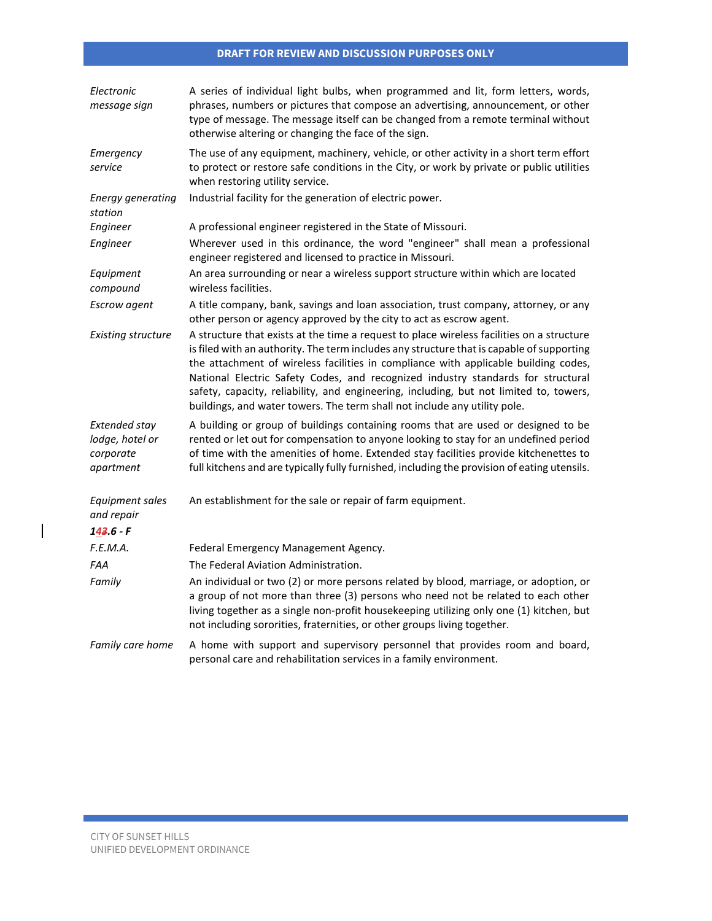| Electronic<br>message sign                                        | A series of individual light bulbs, when programmed and lit, form letters, words,<br>phrases, numbers or pictures that compose an advertising, announcement, or other<br>type of message. The message itself can be changed from a remote terminal without<br>otherwise altering or changing the face of the sign.                                                                                                                                                                                                                       |
|-------------------------------------------------------------------|------------------------------------------------------------------------------------------------------------------------------------------------------------------------------------------------------------------------------------------------------------------------------------------------------------------------------------------------------------------------------------------------------------------------------------------------------------------------------------------------------------------------------------------|
| Emergency<br>service                                              | The use of any equipment, machinery, vehicle, or other activity in a short term effort<br>to protect or restore safe conditions in the City, or work by private or public utilities<br>when restoring utility service.                                                                                                                                                                                                                                                                                                                   |
| <b>Energy generating</b><br>station                               | Industrial facility for the generation of electric power.                                                                                                                                                                                                                                                                                                                                                                                                                                                                                |
| Engineer                                                          | A professional engineer registered in the State of Missouri.                                                                                                                                                                                                                                                                                                                                                                                                                                                                             |
| Engineer                                                          | Wherever used in this ordinance, the word "engineer" shall mean a professional<br>engineer registered and licensed to practice in Missouri.                                                                                                                                                                                                                                                                                                                                                                                              |
| Equipment<br>compound                                             | An area surrounding or near a wireless support structure within which are located<br>wireless facilities.                                                                                                                                                                                                                                                                                                                                                                                                                                |
| Escrow agent                                                      | A title company, bank, savings and loan association, trust company, attorney, or any<br>other person or agency approved by the city to act as escrow agent.                                                                                                                                                                                                                                                                                                                                                                              |
| <b>Existing structure</b>                                         | A structure that exists at the time a request to place wireless facilities on a structure<br>is filed with an authority. The term includes any structure that is capable of supporting<br>the attachment of wireless facilities in compliance with applicable building codes,<br>National Electric Safety Codes, and recognized industry standards for structural<br>safety, capacity, reliability, and engineering, including, but not limited to, towers,<br>buildings, and water towers. The term shall not include any utility pole. |
| <b>Extended stay</b><br>lodge, hotel or<br>corporate<br>apartment | A building or group of buildings containing rooms that are used or designed to be<br>rented or let out for compensation to anyone looking to stay for an undefined period<br>of time with the amenities of home. Extended stay facilities provide kitchenettes to<br>full kitchens and are typically fully furnished, including the provision of eating utensils.                                                                                                                                                                        |
| <b>Equipment sales</b><br>and repair<br>$143.6 - F$               | An establishment for the sale or repair of farm equipment.                                                                                                                                                                                                                                                                                                                                                                                                                                                                               |
| F.E.M.A.                                                          | Federal Emergency Management Agency.                                                                                                                                                                                                                                                                                                                                                                                                                                                                                                     |
| FAA                                                               | The Federal Aviation Administration.                                                                                                                                                                                                                                                                                                                                                                                                                                                                                                     |
| Family                                                            | An individual or two (2) or more persons related by blood, marriage, or adoption, or<br>a group of not more than three (3) persons who need not be related to each other<br>living together as a single non-profit housekeeping utilizing only one (1) kitchen, but<br>not including sororities, fraternities, or other groups living together.                                                                                                                                                                                          |
| Family care home                                                  | A home with support and supervisory personnel that provides room and board,<br>personal care and rehabilitation services in a family environment.                                                                                                                                                                                                                                                                                                                                                                                        |

 $\mathcal{L}(\mathcal{L}^{\mathcal{L}}_{\mathcal{L}})$  and the set of the set of the set of the set of the set of the set of the set of the set of the set of the set of the set of the set of the set of the set of the set of the set of the set of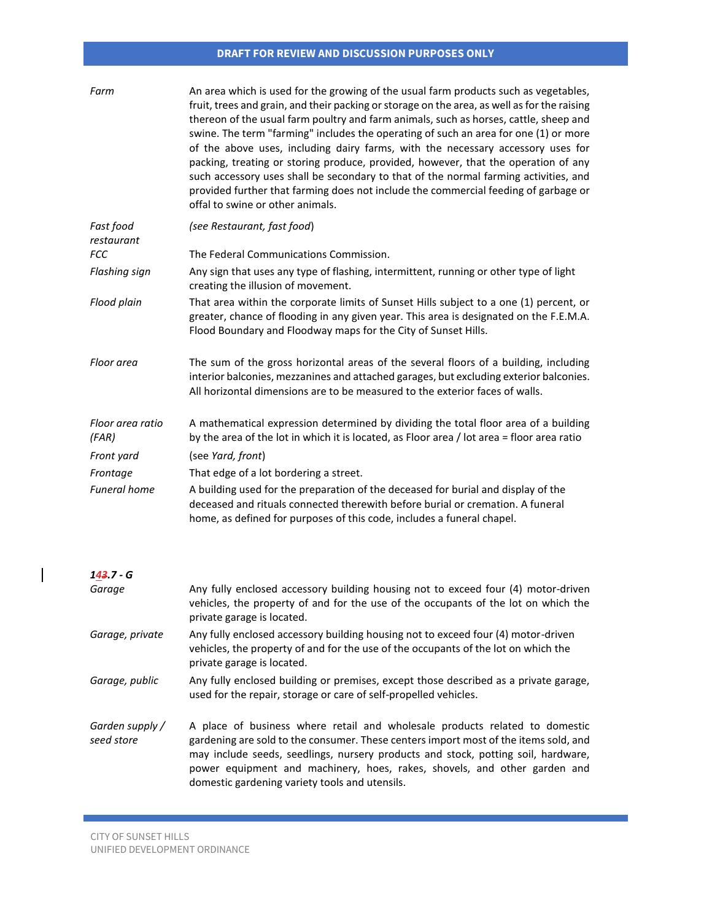| Farm                          | An area which is used for the growing of the usual farm products such as vegetables,<br>fruit, trees and grain, and their packing or storage on the area, as well as for the raising<br>thereon of the usual farm poultry and farm animals, such as horses, cattle, sheep and<br>swine. The term "farming" includes the operating of such an area for one (1) or more<br>of the above uses, including dairy farms, with the necessary accessory uses for<br>packing, treating or storing produce, provided, however, that the operation of any<br>such accessory uses shall be secondary to that of the normal farming activities, and<br>provided further that farming does not include the commercial feeding of garbage or<br>offal to swine or other animals. |
|-------------------------------|-------------------------------------------------------------------------------------------------------------------------------------------------------------------------------------------------------------------------------------------------------------------------------------------------------------------------------------------------------------------------------------------------------------------------------------------------------------------------------------------------------------------------------------------------------------------------------------------------------------------------------------------------------------------------------------------------------------------------------------------------------------------|
| Fast food<br>restaurant       | (see Restaurant, fast food)                                                                                                                                                                                                                                                                                                                                                                                                                                                                                                                                                                                                                                                                                                                                       |
| FCC                           | The Federal Communications Commission.                                                                                                                                                                                                                                                                                                                                                                                                                                                                                                                                                                                                                                                                                                                            |
| Flashing sign                 | Any sign that uses any type of flashing, intermittent, running or other type of light<br>creating the illusion of movement.                                                                                                                                                                                                                                                                                                                                                                                                                                                                                                                                                                                                                                       |
| Flood plain                   | That area within the corporate limits of Sunset Hills subject to a one (1) percent, or<br>greater, chance of flooding in any given year. This area is designated on the F.E.M.A.<br>Flood Boundary and Floodway maps for the City of Sunset Hills.                                                                                                                                                                                                                                                                                                                                                                                                                                                                                                                |
| Floor area                    | The sum of the gross horizontal areas of the several floors of a building, including<br>interior balconies, mezzanines and attached garages, but excluding exterior balconies.<br>All horizontal dimensions are to be measured to the exterior faces of walls.                                                                                                                                                                                                                                                                                                                                                                                                                                                                                                    |
| Floor area ratio<br>(FAR)     | A mathematical expression determined by dividing the total floor area of a building<br>by the area of the lot in which it is located, as Floor area / lot area = floor area ratio                                                                                                                                                                                                                                                                                                                                                                                                                                                                                                                                                                                 |
| Front yard                    | (see Yard, front)                                                                                                                                                                                                                                                                                                                                                                                                                                                                                                                                                                                                                                                                                                                                                 |
| Frontage                      | That edge of a lot bordering a street.                                                                                                                                                                                                                                                                                                                                                                                                                                                                                                                                                                                                                                                                                                                            |
| <b>Funeral home</b>           | A building used for the preparation of the deceased for burial and display of the<br>deceased and rituals connected therewith before burial or cremation. A funeral<br>home, as defined for purposes of this code, includes a funeral chapel.                                                                                                                                                                                                                                                                                                                                                                                                                                                                                                                     |
| $143.7 - G$                   |                                                                                                                                                                                                                                                                                                                                                                                                                                                                                                                                                                                                                                                                                                                                                                   |
| Garage                        | Any fully enclosed accessory building housing not to exceed four (4) motor-driven<br>vehicles, the property of and for the use of the occupants of the lot on which the<br>private garage is located.                                                                                                                                                                                                                                                                                                                                                                                                                                                                                                                                                             |
| Garage, private               | Any fully enclosed accessory building housing not to exceed four (4) motor-driven<br>vehicles, the property of and for the use of the occupants of the lot on which the<br>private garage is located.                                                                                                                                                                                                                                                                                                                                                                                                                                                                                                                                                             |
| Garage, public                | Any fully enclosed building or premises, except those described as a private garage,<br>used for the repair, storage or care of self-propelled vehicles.                                                                                                                                                                                                                                                                                                                                                                                                                                                                                                                                                                                                          |
| Garden supply /<br>seed store | A place of business where retail and wholesale products related to domestic<br>gardening are sold to the consumer. These centers import most of the items sold, and<br>may include seeds, seedlings, nursery products and stock, potting soil, hardware,<br>power equipment and machinery, hoes, rakes, shovels, and other garden and<br>domestic gardening variety tools and utensils.                                                                                                                                                                                                                                                                                                                                                                           |

 $\mathcal{L}^{\text{max}}_{\text{max}}$  and  $\mathcal{L}^{\text{max}}_{\text{max}}$  and  $\mathcal{L}^{\text{max}}_{\text{max}}$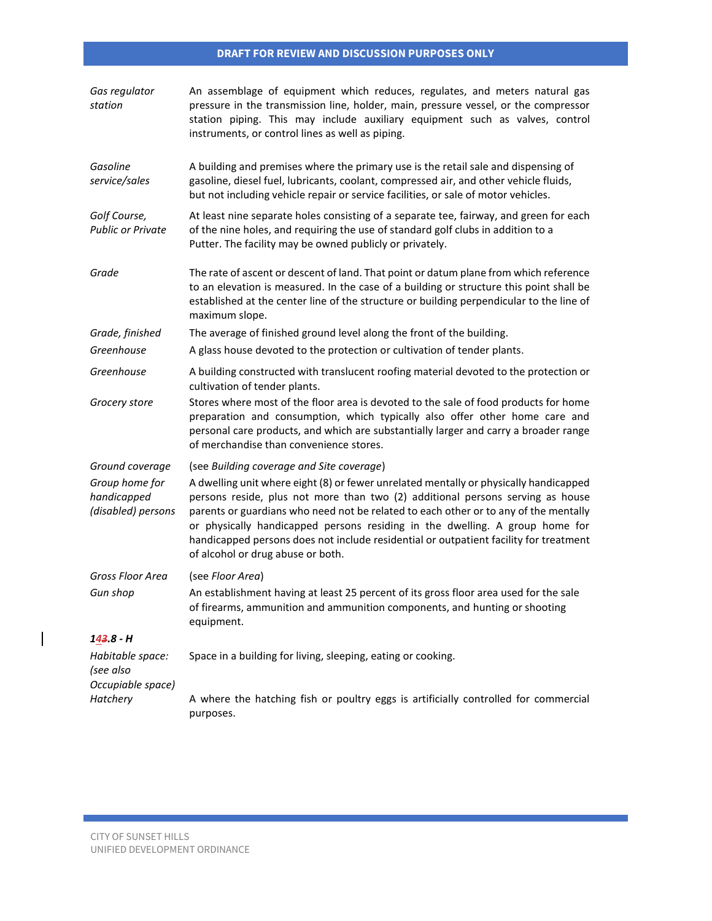| Gas regulator<br>station                            | An assemblage of equipment which reduces, regulates, and meters natural gas<br>pressure in the transmission line, holder, main, pressure vessel, or the compressor<br>station piping. This may include auxiliary equipment such as valves, control<br>instruments, or control lines as well as piping.                                                                                                                                                                        |
|-----------------------------------------------------|-------------------------------------------------------------------------------------------------------------------------------------------------------------------------------------------------------------------------------------------------------------------------------------------------------------------------------------------------------------------------------------------------------------------------------------------------------------------------------|
| Gasoline<br>service/sales                           | A building and premises where the primary use is the retail sale and dispensing of<br>gasoline, diesel fuel, lubricants, coolant, compressed air, and other vehicle fluids,<br>but not including vehicle repair or service facilities, or sale of motor vehicles.                                                                                                                                                                                                             |
| Golf Course,<br><b>Public or Private</b>            | At least nine separate holes consisting of a separate tee, fairway, and green for each<br>of the nine holes, and requiring the use of standard golf clubs in addition to a<br>Putter. The facility may be owned publicly or privately.                                                                                                                                                                                                                                        |
| Grade                                               | The rate of ascent or descent of land. That point or datum plane from which reference<br>to an elevation is measured. In the case of a building or structure this point shall be<br>established at the center line of the structure or building perpendicular to the line of<br>maximum slope.                                                                                                                                                                                |
| Grade, finished                                     | The average of finished ground level along the front of the building.                                                                                                                                                                                                                                                                                                                                                                                                         |
| Greenhouse                                          | A glass house devoted to the protection or cultivation of tender plants.                                                                                                                                                                                                                                                                                                                                                                                                      |
| Greenhouse                                          | A building constructed with translucent roofing material devoted to the protection or<br>cultivation of tender plants.                                                                                                                                                                                                                                                                                                                                                        |
| Grocery store                                       | Stores where most of the floor area is devoted to the sale of food products for home<br>preparation and consumption, which typically also offer other home care and<br>personal care products, and which are substantially larger and carry a broader range<br>of merchandise than convenience stores.                                                                                                                                                                        |
| Ground coverage                                     | (see Building coverage and Site coverage)                                                                                                                                                                                                                                                                                                                                                                                                                                     |
| Group home for<br>handicapped<br>(disabled) persons | A dwelling unit where eight (8) or fewer unrelated mentally or physically handicapped<br>persons reside, plus not more than two (2) additional persons serving as house<br>parents or guardians who need not be related to each other or to any of the mentally<br>or physically handicapped persons residing in the dwelling. A group home for<br>handicapped persons does not include residential or outpatient facility for treatment<br>of alcohol or drug abuse or both. |
| Gross Floor Area                                    | (see Floor Area)                                                                                                                                                                                                                                                                                                                                                                                                                                                              |
| Gun shop                                            | An establishment having at least 25 percent of its gross floor area used for the sale<br>of firearms, ammunition and ammunition components, and hunting or shooting<br>equipment.                                                                                                                                                                                                                                                                                             |
| 143.8 - H                                           |                                                                                                                                                                                                                                                                                                                                                                                                                                                                               |
| Habitable space:<br>(see also<br>Occupiable space)  | Space in a building for living, sleeping, eating or cooking.                                                                                                                                                                                                                                                                                                                                                                                                                  |
| Hatchery                                            | A where the hatching fish or poultry eggs is artificially controlled for commercial<br>purposes.                                                                                                                                                                                                                                                                                                                                                                              |

 $\mathcal{L}^{\text{max}}_{\text{max}}$  and  $\mathcal{L}^{\text{max}}_{\text{max}}$  and  $\mathcal{L}^{\text{max}}_{\text{max}}$ 

 $\begin{array}{c} \rule{0pt}{2.5ex} \rule{0pt}{2.5ex} \rule{0pt}{2.5ex} \rule{0pt}{2.5ex} \rule{0pt}{2.5ex} \rule{0pt}{2.5ex} \rule{0pt}{2.5ex} \rule{0pt}{2.5ex} \rule{0pt}{2.5ex} \rule{0pt}{2.5ex} \rule{0pt}{2.5ex} \rule{0pt}{2.5ex} \rule{0pt}{2.5ex} \rule{0pt}{2.5ex} \rule{0pt}{2.5ex} \rule{0pt}{2.5ex} \rule{0pt}{2.5ex} \rule{0pt}{2.5ex} \rule{0pt}{2.5ex} \rule{0$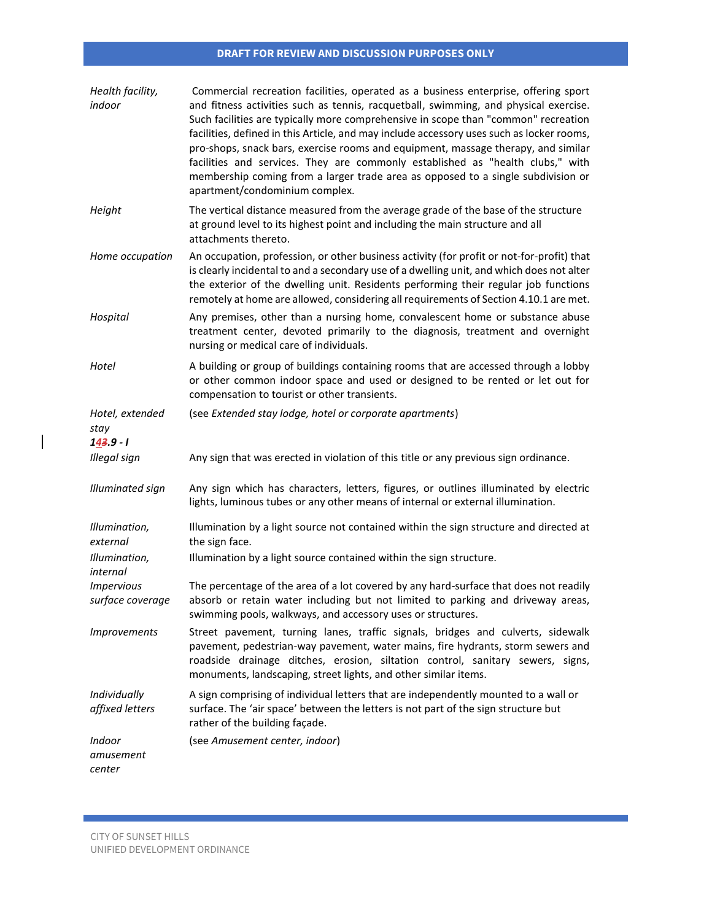| Health facility,<br>indoor                   | Commercial recreation facilities, operated as a business enterprise, offering sport<br>and fitness activities such as tennis, racquetball, swimming, and physical exercise.<br>Such facilities are typically more comprehensive in scope than "common" recreation<br>facilities, defined in this Article, and may include accessory uses such as locker rooms,<br>pro-shops, snack bars, exercise rooms and equipment, massage therapy, and similar<br>facilities and services. They are commonly established as "health clubs," with<br>membership coming from a larger trade area as opposed to a single subdivision or<br>apartment/condominium complex. |
|----------------------------------------------|-------------------------------------------------------------------------------------------------------------------------------------------------------------------------------------------------------------------------------------------------------------------------------------------------------------------------------------------------------------------------------------------------------------------------------------------------------------------------------------------------------------------------------------------------------------------------------------------------------------------------------------------------------------|
| Height                                       | The vertical distance measured from the average grade of the base of the structure<br>at ground level to its highest point and including the main structure and all<br>attachments thereto.                                                                                                                                                                                                                                                                                                                                                                                                                                                                 |
| Home occupation                              | An occupation, profession, or other business activity (for profit or not-for-profit) that<br>is clearly incidental to and a secondary use of a dwelling unit, and which does not alter<br>the exterior of the dwelling unit. Residents performing their regular job functions<br>remotely at home are allowed, considering all requirements of Section 4.10.1 are met.                                                                                                                                                                                                                                                                                      |
| Hospital                                     | Any premises, other than a nursing home, convalescent home or substance abuse<br>treatment center, devoted primarily to the diagnosis, treatment and overnight<br>nursing or medical care of individuals.                                                                                                                                                                                                                                                                                                                                                                                                                                                   |
| Hotel                                        | A building or group of buildings containing rooms that are accessed through a lobby<br>or other common indoor space and used or designed to be rented or let out for<br>compensation to tourist or other transients.                                                                                                                                                                                                                                                                                                                                                                                                                                        |
| Hotel, extended<br>stay<br>$143.9 - 1$       | (see Extended stay lodge, hotel or corporate apartments)                                                                                                                                                                                                                                                                                                                                                                                                                                                                                                                                                                                                    |
| Illegal sign                                 | Any sign that was erected in violation of this title or any previous sign ordinance.                                                                                                                                                                                                                                                                                                                                                                                                                                                                                                                                                                        |
| <b>Illuminated sign</b>                      | Any sign which has characters, letters, figures, or outlines illuminated by electric<br>lights, luminous tubes or any other means of internal or external illumination.                                                                                                                                                                                                                                                                                                                                                                                                                                                                                     |
| Illumination,<br>external                    | Illumination by a light source not contained within the sign structure and directed at<br>the sign face.                                                                                                                                                                                                                                                                                                                                                                                                                                                                                                                                                    |
| Illumination,<br>internal                    | Illumination by a light source contained within the sign structure.                                                                                                                                                                                                                                                                                                                                                                                                                                                                                                                                                                                         |
| <i><b>Impervious</b></i><br>surface coverage | The percentage of the area of a lot covered by any hard-surface that does not readily<br>absorb or retain water including but not limited to parking and driveway areas,<br>swimming pools, walkways, and accessory uses or structures.                                                                                                                                                                                                                                                                                                                                                                                                                     |
| <i>Improvements</i>                          | Street pavement, turning lanes, traffic signals, bridges and culverts, sidewalk<br>pavement, pedestrian-way pavement, water mains, fire hydrants, storm sewers and<br>roadside drainage ditches, erosion, siltation control, sanitary sewers, signs,<br>monuments, landscaping, street lights, and other similar items.                                                                                                                                                                                                                                                                                                                                     |
| Individually<br>affixed letters              | A sign comprising of individual letters that are independently mounted to a wall or<br>surface. The 'air space' between the letters is not part of the sign structure but<br>rather of the building façade.                                                                                                                                                                                                                                                                                                                                                                                                                                                 |
| Indoor<br>amusement<br>center                | (see Amusement center, indoor)                                                                                                                                                                                                                                                                                                                                                                                                                                                                                                                                                                                                                              |

 $\mathcal{L}(\mathcal{L}^{\mathcal{L}}_{\mathcal{L}})$  and the set of the set of the set of the set of the set of the set of the set of the set of the set of the set of the set of the set of the set of the set of the set of the set of the set of

 $\begin{array}{c} \hline \end{array}$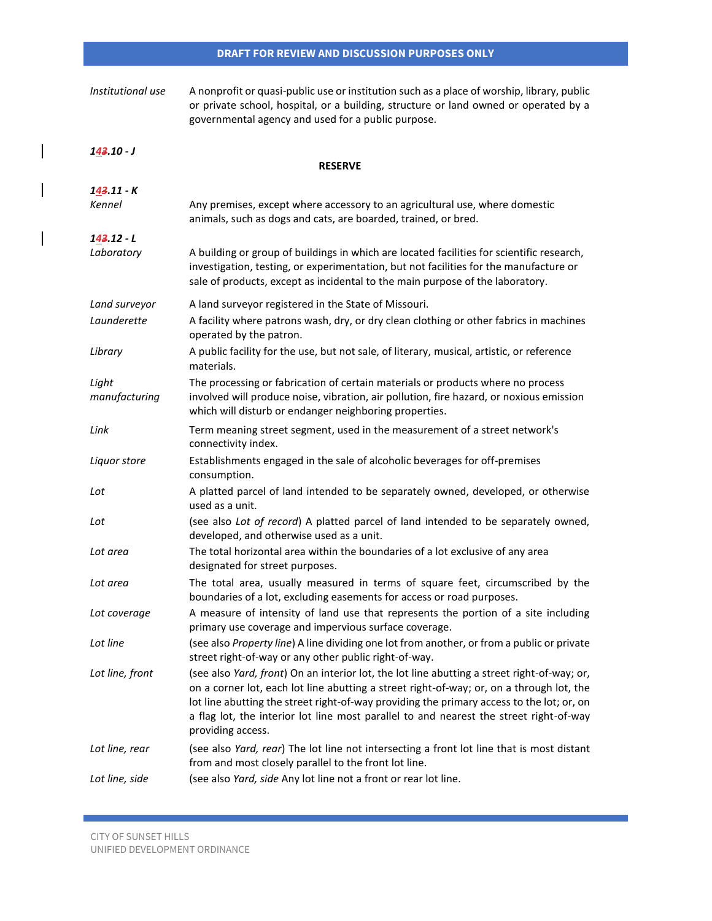| Institutional use      | A nonprofit or quasi-public use or institution such as a place of worship, library, public<br>or private school, hospital, or a building, structure or land owned or operated by a<br>governmental agency and used for a public purpose.                                                                                                                                                            |
|------------------------|-----------------------------------------------------------------------------------------------------------------------------------------------------------------------------------------------------------------------------------------------------------------------------------------------------------------------------------------------------------------------------------------------------|
| $143.10 - J$           | <b>RESERVE</b>                                                                                                                                                                                                                                                                                                                                                                                      |
|                        |                                                                                                                                                                                                                                                                                                                                                                                                     |
| 143.11 - K<br>Kennel   | Any premises, except where accessory to an agricultural use, where domestic<br>animals, such as dogs and cats, are boarded, trained, or bred.                                                                                                                                                                                                                                                       |
| $143.12 - L$           |                                                                                                                                                                                                                                                                                                                                                                                                     |
| Laboratory             | A building or group of buildings in which are located facilities for scientific research,<br>investigation, testing, or experimentation, but not facilities for the manufacture or<br>sale of products, except as incidental to the main purpose of the laboratory.                                                                                                                                 |
| Land surveyor          | A land surveyor registered in the State of Missouri.                                                                                                                                                                                                                                                                                                                                                |
| Launderette            | A facility where patrons wash, dry, or dry clean clothing or other fabrics in machines<br>operated by the patron.                                                                                                                                                                                                                                                                                   |
| Library                | A public facility for the use, but not sale, of literary, musical, artistic, or reference<br>materials.                                                                                                                                                                                                                                                                                             |
| Light<br>manufacturing | The processing or fabrication of certain materials or products where no process<br>involved will produce noise, vibration, air pollution, fire hazard, or noxious emission<br>which will disturb or endanger neighboring properties.                                                                                                                                                                |
| Link                   | Term meaning street segment, used in the measurement of a street network's<br>connectivity index.                                                                                                                                                                                                                                                                                                   |
| Liquor store           | Establishments engaged in the sale of alcoholic beverages for off-premises<br>consumption.                                                                                                                                                                                                                                                                                                          |
| Lot                    | A platted parcel of land intended to be separately owned, developed, or otherwise<br>used as a unit.                                                                                                                                                                                                                                                                                                |
| Lot                    | (see also Lot of record) A platted parcel of land intended to be separately owned,<br>developed, and otherwise used as a unit.                                                                                                                                                                                                                                                                      |
| Lot area               | The total horizontal area within the boundaries of a lot exclusive of any area<br>designated for street purposes.                                                                                                                                                                                                                                                                                   |
| Lot area               | The total area, usually measured in terms of square feet, circumscribed by the<br>boundaries of a lot, excluding easements for access or road purposes.                                                                                                                                                                                                                                             |
| Lot coverage           | A measure of intensity of land use that represents the portion of a site including<br>primary use coverage and impervious surface coverage.                                                                                                                                                                                                                                                         |
| Lot line               | (see also Property line) A line dividing one lot from another, or from a public or private<br>street right-of-way or any other public right-of-way.                                                                                                                                                                                                                                                 |
| Lot line, front        | (see also Yard, front) On an interior lot, the lot line abutting a street right-of-way; or,<br>on a corner lot, each lot line abutting a street right-of-way; or, on a through lot, the<br>lot line abutting the street right-of-way providing the primary access to the lot; or, on<br>a flag lot, the interior lot line most parallel to and nearest the street right-of-way<br>providing access. |
| Lot line, rear         | (see also Yard, rear) The lot line not intersecting a front lot line that is most distant<br>from and most closely parallel to the front lot line.                                                                                                                                                                                                                                                  |
| Lot line, side         | (see also Yard, side Any lot line not a front or rear lot line.                                                                                                                                                                                                                                                                                                                                     |

 $\overline{\phantom{a}}$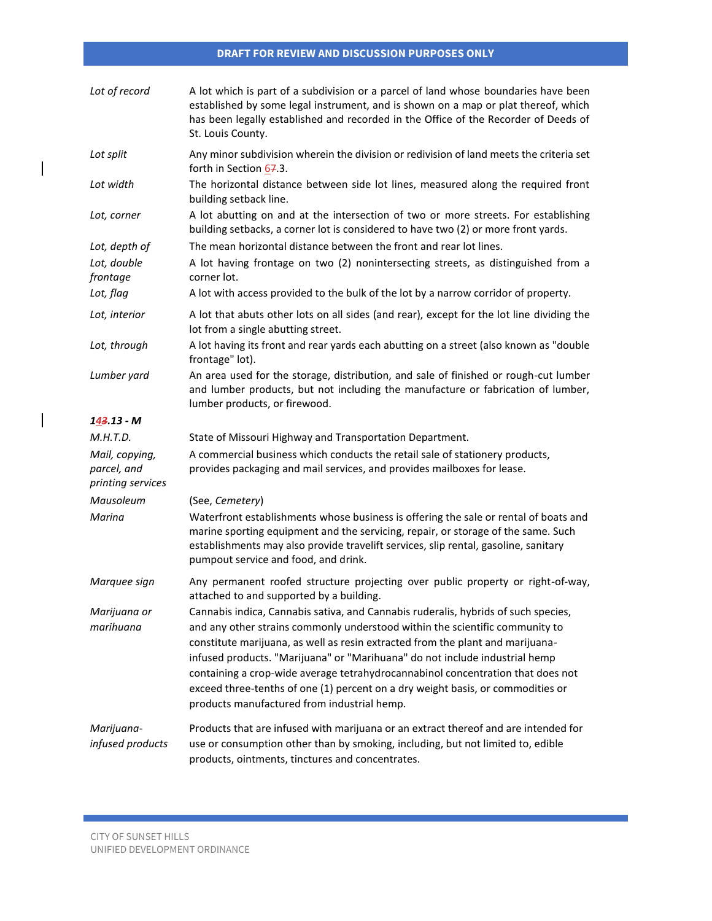| Lot of record                                      | A lot which is part of a subdivision or a parcel of land whose boundaries have been<br>established by some legal instrument, and is shown on a map or plat thereof, which<br>has been legally established and recorded in the Office of the Recorder of Deeds of<br>St. Louis County.                    |
|----------------------------------------------------|----------------------------------------------------------------------------------------------------------------------------------------------------------------------------------------------------------------------------------------------------------------------------------------------------------|
| Lot split                                          | Any minor subdivision wherein the division or redivision of land meets the criteria set<br>forth in Section 67.3.                                                                                                                                                                                        |
| Lot width                                          | The horizontal distance between side lot lines, measured along the required front<br>building setback line.                                                                                                                                                                                              |
| Lot, corner                                        | A lot abutting on and at the intersection of two or more streets. For establishing<br>building setbacks, a corner lot is considered to have two (2) or more front yards.                                                                                                                                 |
| Lot, depth of                                      | The mean horizontal distance between the front and rear lot lines.                                                                                                                                                                                                                                       |
| Lot, double<br>frontage                            | A lot having frontage on two (2) nonintersecting streets, as distinguished from a<br>corner lot.                                                                                                                                                                                                         |
| Lot, flag                                          | A lot with access provided to the bulk of the lot by a narrow corridor of property.                                                                                                                                                                                                                      |
| Lot, interior                                      | A lot that abuts other lots on all sides (and rear), except for the lot line dividing the<br>lot from a single abutting street.                                                                                                                                                                          |
| Lot, through                                       | A lot having its front and rear yards each abutting on a street (also known as "double<br>frontage" lot).                                                                                                                                                                                                |
| Lumber yard                                        | An area used for the storage, distribution, and sale of finished or rough-cut lumber<br>and lumber products, but not including the manufacture or fabrication of lumber,<br>lumber products, or firewood.                                                                                                |
| $143.13 - M$                                       |                                                                                                                                                                                                                                                                                                          |
| M.H.T.D.                                           | State of Missouri Highway and Transportation Department.                                                                                                                                                                                                                                                 |
| Mail, copying,<br>parcel, and<br>printing services | A commercial business which conducts the retail sale of stationery products,<br>provides packaging and mail services, and provides mailboxes for lease.                                                                                                                                                  |
| Mausoleum                                          | (See, Cemetery)                                                                                                                                                                                                                                                                                          |
| Marina                                             | Waterfront establishments whose business is offering the sale or rental of boats and<br>marine sporting equipment and the servicing, repair, or storage of the same. Such<br>establishments may also provide travelift services, slip rental, gasoline, sanitary<br>pumpout service and food, and drink. |
| Marquee sign                                       | Any permanent roofed structure projecting over public property or right-of-way,<br>attached to and supported by a building.                                                                                                                                                                              |
| Marijuana or                                       | Cannabis indica, Cannabis sativa, and Cannabis ruderalis, hybrids of such species,                                                                                                                                                                                                                       |
| marihuana                                          | and any other strains commonly understood within the scientific community to<br>constitute marijuana, as well as resin extracted from the plant and marijuana-<br>infused products. "Marijuana" or "Marihuana" do not include industrial hemp                                                            |
|                                                    | containing a crop-wide average tetrahydrocannabinol concentration that does not<br>exceed three-tenths of one (1) percent on a dry weight basis, or commodities or<br>products manufactured from industrial hemp.                                                                                        |

 $\overline{\phantom{a}}$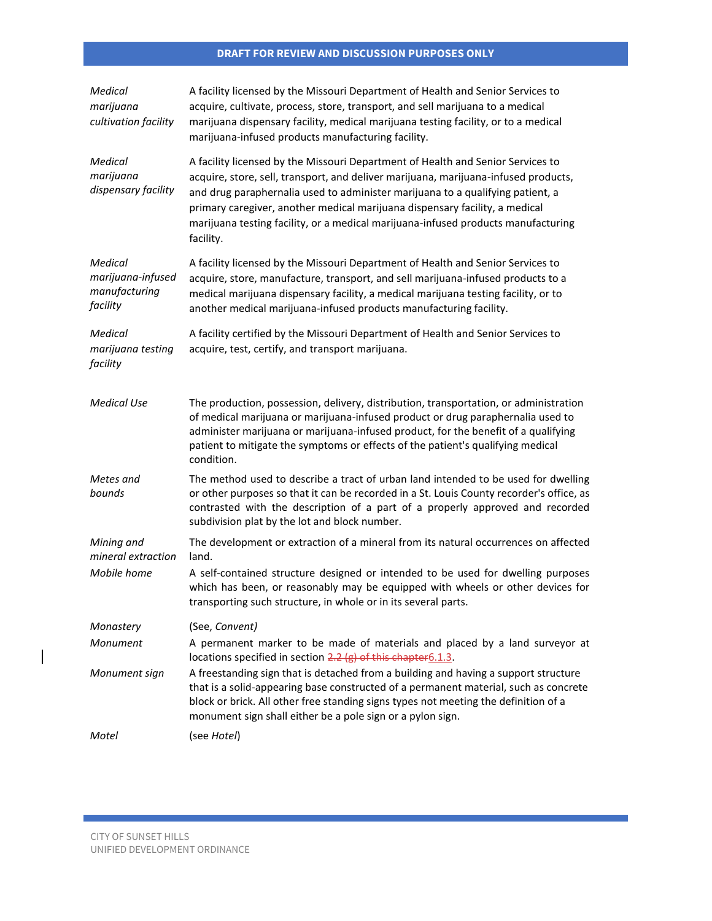| Medical<br>marijuana<br>cultivation facility              | A facility licensed by the Missouri Department of Health and Senior Services to<br>acquire, cultivate, process, store, transport, and sell marijuana to a medical<br>marijuana dispensary facility, medical marijuana testing facility, or to a medical<br>marijuana-infused products manufacturing facility.                                                                                                                             |
|-----------------------------------------------------------|-------------------------------------------------------------------------------------------------------------------------------------------------------------------------------------------------------------------------------------------------------------------------------------------------------------------------------------------------------------------------------------------------------------------------------------------|
| Medical<br>marijuana<br>dispensary facility               | A facility licensed by the Missouri Department of Health and Senior Services to<br>acquire, store, sell, transport, and deliver marijuana, marijuana-infused products,<br>and drug paraphernalia used to administer marijuana to a qualifying patient, a<br>primary caregiver, another medical marijuana dispensary facility, a medical<br>marijuana testing facility, or a medical marijuana-infused products manufacturing<br>facility. |
| Medical<br>marijuana-infused<br>manufacturing<br>facility | A facility licensed by the Missouri Department of Health and Senior Services to<br>acquire, store, manufacture, transport, and sell marijuana-infused products to a<br>medical marijuana dispensary facility, a medical marijuana testing facility, or to<br>another medical marijuana-infused products manufacturing facility.                                                                                                           |
| Medical<br>marijuana testing<br>facility                  | A facility certified by the Missouri Department of Health and Senior Services to<br>acquire, test, certify, and transport marijuana.                                                                                                                                                                                                                                                                                                      |
| Medical Use                                               | The production, possession, delivery, distribution, transportation, or administration<br>of medical marijuana or marijuana-infused product or drug paraphernalia used to<br>administer marijuana or marijuana-infused product, for the benefit of a qualifying<br>patient to mitigate the symptoms or effects of the patient's qualifying medical<br>condition.                                                                           |
| Metes and<br>bounds                                       | The method used to describe a tract of urban land intended to be used for dwelling<br>or other purposes so that it can be recorded in a St. Louis County recorder's office, as<br>contrasted with the description of a part of a properly approved and recorded<br>subdivision plat by the lot and block number.                                                                                                                          |
| Mining and<br>mineral extraction                          | The development or extraction of a mineral from its natural occurrences on affected<br>land.                                                                                                                                                                                                                                                                                                                                              |
| Mobile home                                               | A self-contained structure designed or intended to be used for dwelling purposes<br>which has been, or reasonably may be equipped with wheels or other devices for<br>transporting such structure, in whole or in its several parts.                                                                                                                                                                                                      |
| Monastery                                                 | (See, Convent)                                                                                                                                                                                                                                                                                                                                                                                                                            |
| Monument                                                  | A permanent marker to be made of materials and placed by a land surveyor at<br>locations specified in section 2.2 (g) of this chapter 6.1.3.                                                                                                                                                                                                                                                                                              |
| Monument sign                                             | A freestanding sign that is detached from a building and having a support structure<br>that is a solid-appearing base constructed of a permanent material, such as concrete<br>block or brick. All other free standing signs types not meeting the definition of a<br>monument sign shall either be a pole sign or a pylon sign.                                                                                                          |
| Motel                                                     | (see Hotel)                                                                                                                                                                                                                                                                                                                                                                                                                               |

 $\mathcal{L}(\mathcal{L}^{\mathcal{L}}_{\mathcal{L}})$  and the set of the set of the set of the set of the set of the set of the set of the set of the set of the set of the set of the set of the set of the set of the set of the set of the set of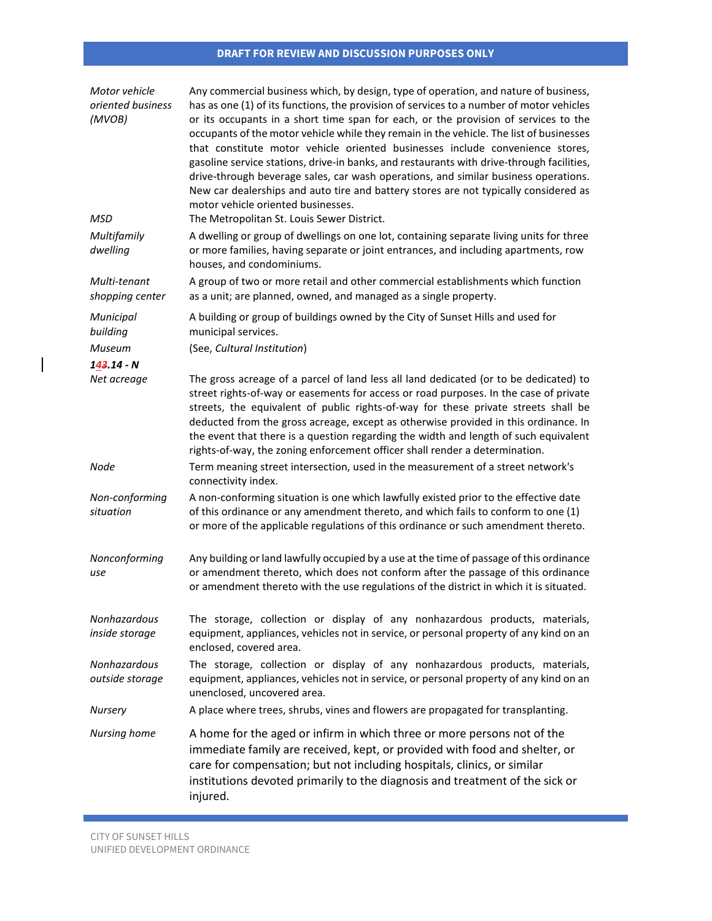| Motor vehicle<br>oriented business<br>(MVOB) | Any commercial business which, by design, type of operation, and nature of business,<br>has as one (1) of its functions, the provision of services to a number of motor vehicles<br>or its occupants in a short time span for each, or the provision of services to the<br>occupants of the motor vehicle while they remain in the vehicle. The list of businesses<br>that constitute motor vehicle oriented businesses include convenience stores,<br>gasoline service stations, drive-in banks, and restaurants with drive-through facilities,<br>drive-through beverage sales, car wash operations, and similar business operations.<br>New car dealerships and auto tire and battery stores are not typically considered as<br>motor vehicle oriented businesses. |
|----------------------------------------------|-----------------------------------------------------------------------------------------------------------------------------------------------------------------------------------------------------------------------------------------------------------------------------------------------------------------------------------------------------------------------------------------------------------------------------------------------------------------------------------------------------------------------------------------------------------------------------------------------------------------------------------------------------------------------------------------------------------------------------------------------------------------------|
| <b>MSD</b>                                   | The Metropolitan St. Louis Sewer District.                                                                                                                                                                                                                                                                                                                                                                                                                                                                                                                                                                                                                                                                                                                            |
| Multifamily<br>dwelling                      | A dwelling or group of dwellings on one lot, containing separate living units for three<br>or more families, having separate or joint entrances, and including apartments, row<br>houses, and condominiums.                                                                                                                                                                                                                                                                                                                                                                                                                                                                                                                                                           |
| Multi-tenant<br>shopping center              | A group of two or more retail and other commercial establishments which function<br>as a unit; are planned, owned, and managed as a single property.                                                                                                                                                                                                                                                                                                                                                                                                                                                                                                                                                                                                                  |
| Municipal<br>building                        | A building or group of buildings owned by the City of Sunset Hills and used for<br>municipal services.                                                                                                                                                                                                                                                                                                                                                                                                                                                                                                                                                                                                                                                                |
| Museum                                       | (See, Cultural Institution)                                                                                                                                                                                                                                                                                                                                                                                                                                                                                                                                                                                                                                                                                                                                           |
| $143.14 - N$                                 |                                                                                                                                                                                                                                                                                                                                                                                                                                                                                                                                                                                                                                                                                                                                                                       |
| Net acreage                                  | The gross acreage of a parcel of land less all land dedicated (or to be dedicated) to<br>street rights-of-way or easements for access or road purposes. In the case of private<br>streets, the equivalent of public rights-of-way for these private streets shall be<br>deducted from the gross acreage, except as otherwise provided in this ordinance. In<br>the event that there is a question regarding the width and length of such equivalent<br>rights-of-way, the zoning enforcement officer shall render a determination.                                                                                                                                                                                                                                    |
| Node                                         | Term meaning street intersection, used in the measurement of a street network's<br>connectivity index.                                                                                                                                                                                                                                                                                                                                                                                                                                                                                                                                                                                                                                                                |
| Non-conforming<br>situation                  | A non-conforming situation is one which lawfully existed prior to the effective date<br>of this ordinance or any amendment thereto, and which fails to conform to one (1)<br>or more of the applicable regulations of this ordinance or such amendment thereto.                                                                                                                                                                                                                                                                                                                                                                                                                                                                                                       |
| Nonconforming<br>use                         | Any building or land lawfully occupied by a use at the time of passage of this ordinance<br>or amendment thereto, which does not conform after the passage of this ordinance<br>or amendment thereto with the use regulations of the district in which it is situated.                                                                                                                                                                                                                                                                                                                                                                                                                                                                                                |
| Nonhazardous<br>inside storage               | The storage, collection or display of any nonhazardous products, materials,<br>equipment, appliances, vehicles not in service, or personal property of any kind on an<br>enclosed, covered area.                                                                                                                                                                                                                                                                                                                                                                                                                                                                                                                                                                      |
| Nonhazardous<br>outside storage              | The storage, collection or display of any nonhazardous products, materials,<br>equipment, appliances, vehicles not in service, or personal property of any kind on an<br>unenclosed, uncovered area.                                                                                                                                                                                                                                                                                                                                                                                                                                                                                                                                                                  |
| <b>Nursery</b>                               | A place where trees, shrubs, vines and flowers are propagated for transplanting.                                                                                                                                                                                                                                                                                                                                                                                                                                                                                                                                                                                                                                                                                      |
| Nursing home                                 | A home for the aged or infirm in which three or more persons not of the<br>immediate family are received, kept, or provided with food and shelter, or<br>care for compensation; but not including hospitals, clinics, or similar<br>institutions devoted primarily to the diagnosis and treatment of the sick or<br>injured.                                                                                                                                                                                                                                                                                                                                                                                                                                          |

 $\mathcal{L}(\mathcal{L}^{\mathcal{L}}_{\mathcal{L}})$  and the set of the set of the set of the set of the set of the set of the set of the set of the set of the set of the set of the set of the set of the set of the set of the set of the set of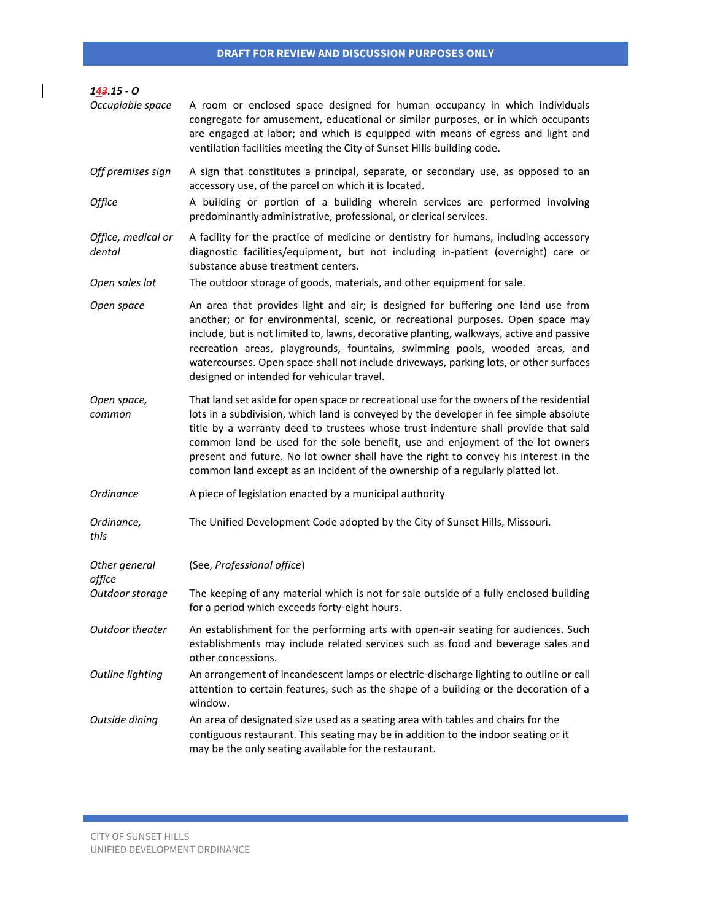| $143.15 - 0$                 |                                                                                                                                                                                                                                                                                                                                                                                                                                                                                                                                   |
|------------------------------|-----------------------------------------------------------------------------------------------------------------------------------------------------------------------------------------------------------------------------------------------------------------------------------------------------------------------------------------------------------------------------------------------------------------------------------------------------------------------------------------------------------------------------------|
| Occupiable space             | A room or enclosed space designed for human occupancy in which individuals<br>congregate for amusement, educational or similar purposes, or in which occupants<br>are engaged at labor; and which is equipped with means of egress and light and<br>ventilation facilities meeting the City of Sunset Hills building code.                                                                                                                                                                                                        |
| Off premises sign            | A sign that constitutes a principal, separate, or secondary use, as opposed to an<br>accessory use, of the parcel on which it is located.                                                                                                                                                                                                                                                                                                                                                                                         |
| Office                       | A building or portion of a building wherein services are performed involving<br>predominantly administrative, professional, or clerical services.                                                                                                                                                                                                                                                                                                                                                                                 |
| Office, medical or<br>dental | A facility for the practice of medicine or dentistry for humans, including accessory<br>diagnostic facilities/equipment, but not including in-patient (overnight) care or<br>substance abuse treatment centers.                                                                                                                                                                                                                                                                                                                   |
| Open sales lot               | The outdoor storage of goods, materials, and other equipment for sale.                                                                                                                                                                                                                                                                                                                                                                                                                                                            |
| Open space                   | An area that provides light and air; is designed for buffering one land use from<br>another; or for environmental, scenic, or recreational purposes. Open space may<br>include, but is not limited to, lawns, decorative planting, walkways, active and passive<br>recreation areas, playgrounds, fountains, swimming pools, wooded areas, and<br>watercourses. Open space shall not include driveways, parking lots, or other surfaces<br>designed or intended for vehicular travel.                                             |
| Open space,<br>common        | That land set aside for open space or recreational use for the owners of the residential<br>lots in a subdivision, which land is conveyed by the developer in fee simple absolute<br>title by a warranty deed to trustees whose trust indenture shall provide that said<br>common land be used for the sole benefit, use and enjoyment of the lot owners<br>present and future. No lot owner shall have the right to convey his interest in the<br>common land except as an incident of the ownership of a regularly platted lot. |
| Ordinance                    | A piece of legislation enacted by a municipal authority                                                                                                                                                                                                                                                                                                                                                                                                                                                                           |
| Ordinance,<br>this           | The Unified Development Code adopted by the City of Sunset Hills, Missouri.                                                                                                                                                                                                                                                                                                                                                                                                                                                       |
| Other general<br>office      | (See, Professional office)                                                                                                                                                                                                                                                                                                                                                                                                                                                                                                        |
| Outdoor storage              | The keeping of any material which is not for sale outside of a fully enclosed building<br>for a period which exceeds forty-eight hours.                                                                                                                                                                                                                                                                                                                                                                                           |
| Outdoor theater              | An establishment for the performing arts with open-air seating for audiences. Such<br>establishments may include related services such as food and beverage sales and<br>other concessions.                                                                                                                                                                                                                                                                                                                                       |
| Outline lighting             | An arrangement of incandescent lamps or electric-discharge lighting to outline or call<br>attention to certain features, such as the shape of a building or the decoration of a<br>window.                                                                                                                                                                                                                                                                                                                                        |
| Outside dining               | An area of designated size used as a seating area with tables and chairs for the<br>contiguous restaurant. This seating may be in addition to the indoor seating or it<br>may be the only seating available for the restaurant.                                                                                                                                                                                                                                                                                                   |

 $\mathcal{L}(\mathcal{L}^{\mathcal{L}}_{\mathcal{L}})$  and the set of the set of the set of the set of the set of the set of the set of the set of the set of the set of the set of the set of the set of the set of the set of the set of the set of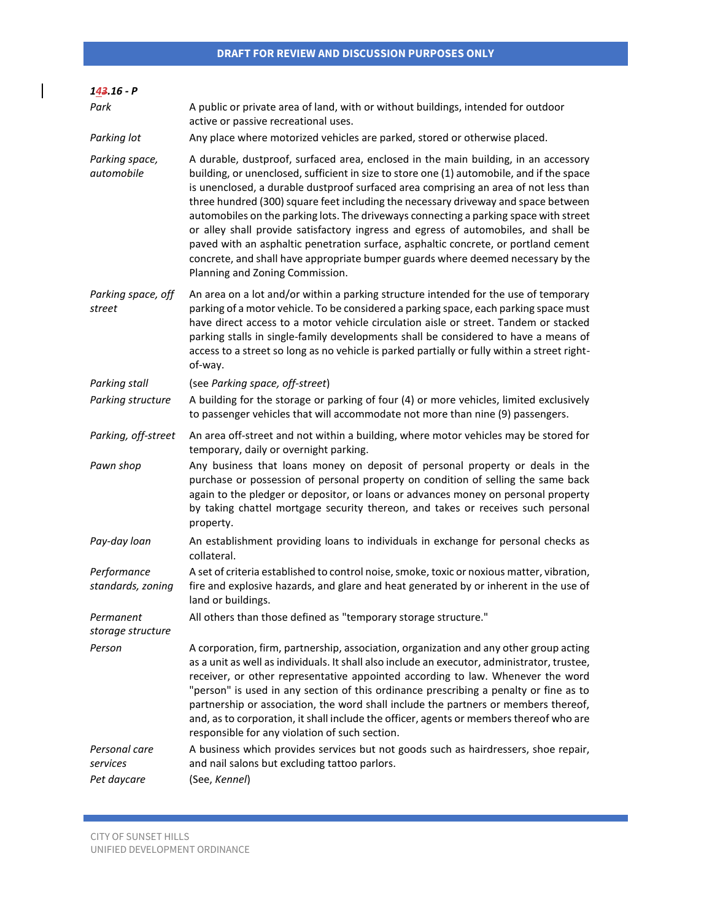| 143.16 - P                               |                                                                                                                                                                                                                                                                                                                                                                                                                                                                                                                                                                                                                                                                                                                                                              |
|------------------------------------------|--------------------------------------------------------------------------------------------------------------------------------------------------------------------------------------------------------------------------------------------------------------------------------------------------------------------------------------------------------------------------------------------------------------------------------------------------------------------------------------------------------------------------------------------------------------------------------------------------------------------------------------------------------------------------------------------------------------------------------------------------------------|
| Park                                     | A public or private area of land, with or without buildings, intended for outdoor<br>active or passive recreational uses.                                                                                                                                                                                                                                                                                                                                                                                                                                                                                                                                                                                                                                    |
| Parking lot                              | Any place where motorized vehicles are parked, stored or otherwise placed.                                                                                                                                                                                                                                                                                                                                                                                                                                                                                                                                                                                                                                                                                   |
| Parking space,<br>automobile             | A durable, dustproof, surfaced area, enclosed in the main building, in an accessory<br>building, or unenclosed, sufficient in size to store one (1) automobile, and if the space<br>is unenclosed, a durable dustproof surfaced area comprising an area of not less than<br>three hundred (300) square feet including the necessary driveway and space between<br>automobiles on the parking lots. The driveways connecting a parking space with street<br>or alley shall provide satisfactory ingress and egress of automobiles, and shall be<br>paved with an asphaltic penetration surface, asphaltic concrete, or portland cement<br>concrete, and shall have appropriate bumper guards where deemed necessary by the<br>Planning and Zoning Commission. |
| Parking space, off<br>street             | An area on a lot and/or within a parking structure intended for the use of temporary<br>parking of a motor vehicle. To be considered a parking space, each parking space must<br>have direct access to a motor vehicle circulation aisle or street. Tandem or stacked<br>parking stalls in single-family developments shall be considered to have a means of<br>access to a street so long as no vehicle is parked partially or fully within a street right-<br>of-way.                                                                                                                                                                                                                                                                                      |
| Parking stall                            | (see Parking space, off-street)                                                                                                                                                                                                                                                                                                                                                                                                                                                                                                                                                                                                                                                                                                                              |
| Parking structure                        | A building for the storage or parking of four (4) or more vehicles, limited exclusively<br>to passenger vehicles that will accommodate not more than nine (9) passengers.                                                                                                                                                                                                                                                                                                                                                                                                                                                                                                                                                                                    |
| Parking, off-street                      | An area off-street and not within a building, where motor vehicles may be stored for<br>temporary, daily or overnight parking.                                                                                                                                                                                                                                                                                                                                                                                                                                                                                                                                                                                                                               |
| Pawn shop                                | Any business that loans money on deposit of personal property or deals in the<br>purchase or possession of personal property on condition of selling the same back<br>again to the pledger or depositor, or loans or advances money on personal property<br>by taking chattel mortgage security thereon, and takes or receives such personal<br>property.                                                                                                                                                                                                                                                                                                                                                                                                    |
| Pay-day loan                             | An establishment providing loans to individuals in exchange for personal checks as<br>collateral.                                                                                                                                                                                                                                                                                                                                                                                                                                                                                                                                                                                                                                                            |
| Performance<br>standards, zoning         | A set of criteria established to control noise, smoke, toxic or noxious matter, vibration,<br>fire and explosive hazards, and glare and heat generated by or inherent in the use of<br>land or buildings.                                                                                                                                                                                                                                                                                                                                                                                                                                                                                                                                                    |
| Permanent<br>storage structure           | All others than those defined as "temporary storage structure."                                                                                                                                                                                                                                                                                                                                                                                                                                                                                                                                                                                                                                                                                              |
| Person                                   | A corporation, firm, partnership, association, organization and any other group acting<br>as a unit as well as individuals. It shall also include an executor, administrator, trustee,<br>receiver, or other representative appointed according to law. Whenever the word<br>"person" is used in any section of this ordinance prescribing a penalty or fine as to<br>partnership or association, the word shall include the partners or members thereof,<br>and, as to corporation, it shall include the officer, agents or members thereof who are<br>responsible for any violation of such section.                                                                                                                                                       |
| Personal care<br>services<br>Pet daycare | A business which provides services but not goods such as hairdressers, shoe repair,<br>and nail salons but excluding tattoo parlors.<br>(See, Kennel)                                                                                                                                                                                                                                                                                                                                                                                                                                                                                                                                                                                                        |

 $\mathcal{L}(\mathcal{L}^{\mathcal{L}}_{\mathcal{L}})$  and the set of the set of the set of the set of the set of the set of the set of the set of the set of the set of the set of the set of the set of the set of the set of the set of the set of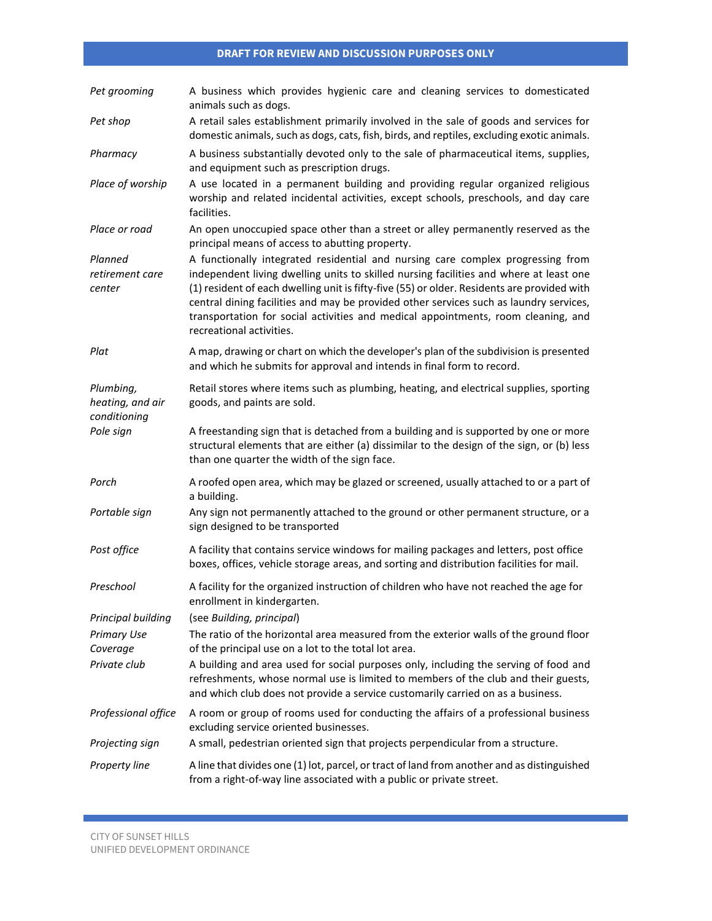| Pet grooming                                  | A business which provides hygienic care and cleaning services to domesticated<br>animals such as dogs.                                                                                                                                                                                                                                                                                                                                                                              |
|-----------------------------------------------|-------------------------------------------------------------------------------------------------------------------------------------------------------------------------------------------------------------------------------------------------------------------------------------------------------------------------------------------------------------------------------------------------------------------------------------------------------------------------------------|
| Pet shop                                      | A retail sales establishment primarily involved in the sale of goods and services for<br>domestic animals, such as dogs, cats, fish, birds, and reptiles, excluding exotic animals.                                                                                                                                                                                                                                                                                                 |
| Pharmacy                                      | A business substantially devoted only to the sale of pharmaceutical items, supplies,<br>and equipment such as prescription drugs.                                                                                                                                                                                                                                                                                                                                                   |
| Place of worship                              | A use located in a permanent building and providing regular organized religious<br>worship and related incidental activities, except schools, preschools, and day care<br>facilities.                                                                                                                                                                                                                                                                                               |
| Place or road                                 | An open unoccupied space other than a street or alley permanently reserved as the<br>principal means of access to abutting property.                                                                                                                                                                                                                                                                                                                                                |
| Planned<br>retirement care<br>center          | A functionally integrated residential and nursing care complex progressing from<br>independent living dwelling units to skilled nursing facilities and where at least one<br>(1) resident of each dwelling unit is fifty-five (55) or older. Residents are provided with<br>central dining facilities and may be provided other services such as laundry services,<br>transportation for social activities and medical appointments, room cleaning, and<br>recreational activities. |
| Plat                                          | A map, drawing or chart on which the developer's plan of the subdivision is presented<br>and which he submits for approval and intends in final form to record.                                                                                                                                                                                                                                                                                                                     |
| Plumbing,<br>heating, and air<br>conditioning | Retail stores where items such as plumbing, heating, and electrical supplies, sporting<br>goods, and paints are sold.                                                                                                                                                                                                                                                                                                                                                               |
| Pole sign                                     | A freestanding sign that is detached from a building and is supported by one or more<br>structural elements that are either (a) dissimilar to the design of the sign, or (b) less<br>than one quarter the width of the sign face.                                                                                                                                                                                                                                                   |
| Porch                                         | A roofed open area, which may be glazed or screened, usually attached to or a part of<br>a building.                                                                                                                                                                                                                                                                                                                                                                                |
| Portable sign                                 | Any sign not permanently attached to the ground or other permanent structure, or a<br>sign designed to be transported                                                                                                                                                                                                                                                                                                                                                               |
| Post office                                   | A facility that contains service windows for mailing packages and letters, post office<br>boxes, offices, vehicle storage areas, and sorting and distribution facilities for mail.                                                                                                                                                                                                                                                                                                  |
| Preschool                                     | A facility for the organized instruction of children who have not reached the age for<br>enrollment in kindergarten.                                                                                                                                                                                                                                                                                                                                                                |
| Principal building                            | (see Building, principal)                                                                                                                                                                                                                                                                                                                                                                                                                                                           |
| <b>Primary Use</b>                            | The ratio of the horizontal area measured from the exterior walls of the ground floor                                                                                                                                                                                                                                                                                                                                                                                               |
| Coverage                                      | of the principal use on a lot to the total lot area.                                                                                                                                                                                                                                                                                                                                                                                                                                |
| Private club                                  | A building and area used for social purposes only, including the serving of food and<br>refreshments, whose normal use is limited to members of the club and their guests,<br>and which club does not provide a service customarily carried on as a business.                                                                                                                                                                                                                       |
| Professional office                           | A room or group of rooms used for conducting the affairs of a professional business<br>excluding service oriented businesses.                                                                                                                                                                                                                                                                                                                                                       |
| Projecting sign                               | A small, pedestrian oriented sign that projects perpendicular from a structure.                                                                                                                                                                                                                                                                                                                                                                                                     |
| Property line                                 | A line that divides one (1) lot, parcel, or tract of land from another and as distinguished<br>from a right-of-way line associated with a public or private street.                                                                                                                                                                                                                                                                                                                 |

a sa kacamatan ing Kabupatèn Kabupatèn Kabupatèn Kabupatèn Kabupatèn Kabupatèn Kabupatèn Kabupatèn Kabupatèn K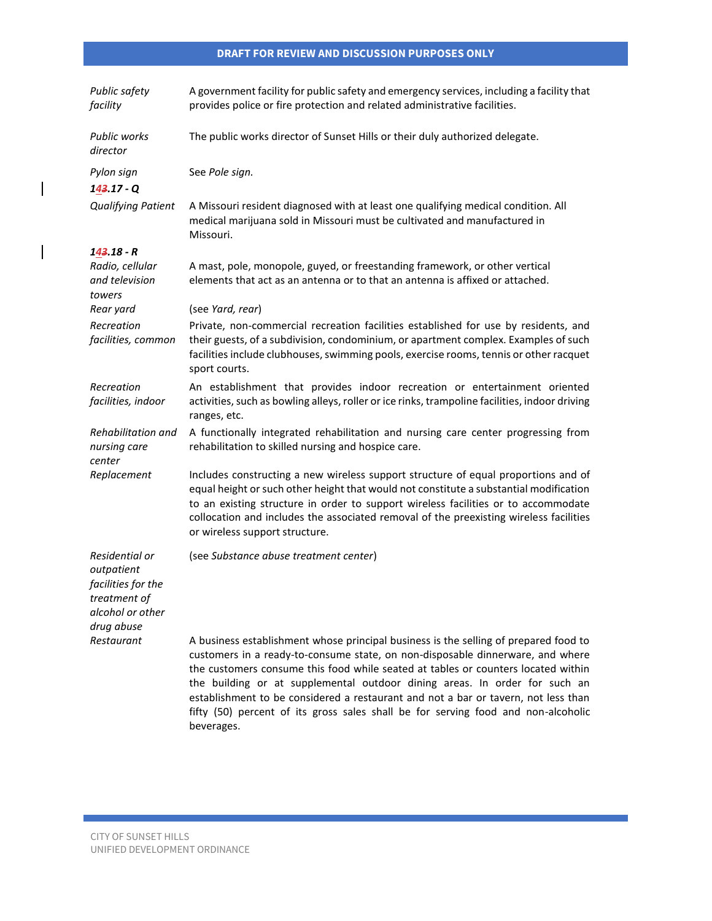| Public safety<br>facility                                                                            | A government facility for public safety and emergency services, including a facility that<br>provides police or fire protection and related administrative facilities.                                                                                                                                                                                                                                                                                                                                                             |
|------------------------------------------------------------------------------------------------------|------------------------------------------------------------------------------------------------------------------------------------------------------------------------------------------------------------------------------------------------------------------------------------------------------------------------------------------------------------------------------------------------------------------------------------------------------------------------------------------------------------------------------------|
| <b>Public works</b><br>director                                                                      | The public works director of Sunset Hills or their duly authorized delegate.                                                                                                                                                                                                                                                                                                                                                                                                                                                       |
| Pylon sign<br>$143.17 - Q$                                                                           | See Pole sign.                                                                                                                                                                                                                                                                                                                                                                                                                                                                                                                     |
| <b>Qualifying Patient</b>                                                                            | A Missouri resident diagnosed with at least one qualifying medical condition. All<br>medical marijuana sold in Missouri must be cultivated and manufactured in<br>Missouri.                                                                                                                                                                                                                                                                                                                                                        |
| 143.18 - R                                                                                           |                                                                                                                                                                                                                                                                                                                                                                                                                                                                                                                                    |
| Radio, cellular<br>and television<br>towers                                                          | A mast, pole, monopole, guyed, or freestanding framework, or other vertical<br>elements that act as an antenna or to that an antenna is affixed or attached.                                                                                                                                                                                                                                                                                                                                                                       |
| Rear yard                                                                                            | (see Yard, rear)                                                                                                                                                                                                                                                                                                                                                                                                                                                                                                                   |
| Recreation<br>facilities, common                                                                     | Private, non-commercial recreation facilities established for use by residents, and<br>their guests, of a subdivision, condominium, or apartment complex. Examples of such<br>facilities include clubhouses, swimming pools, exercise rooms, tennis or other racquet<br>sport courts.                                                                                                                                                                                                                                              |
| Recreation<br>facilities, indoor                                                                     | An establishment that provides indoor recreation or entertainment oriented<br>activities, such as bowling alleys, roller or ice rinks, trampoline facilities, indoor driving<br>ranges, etc.                                                                                                                                                                                                                                                                                                                                       |
| Rehabilitation and<br>nursing care<br>center                                                         | A functionally integrated rehabilitation and nursing care center progressing from<br>rehabilitation to skilled nursing and hospice care.                                                                                                                                                                                                                                                                                                                                                                                           |
| Replacement                                                                                          | Includes constructing a new wireless support structure of equal proportions and of<br>equal height or such other height that would not constitute a substantial modification<br>to an existing structure in order to support wireless facilities or to accommodate<br>collocation and includes the associated removal of the preexisting wireless facilities<br>or wireless support structure.                                                                                                                                     |
| Residential or<br>outpatient<br>facilities for the<br>treatment of<br>alcohol or other<br>drug abuse | (see Substance abuse treatment center)                                                                                                                                                                                                                                                                                                                                                                                                                                                                                             |
| Restaurant                                                                                           | A business establishment whose principal business is the selling of prepared food to<br>customers in a ready-to-consume state, on non-disposable dinnerware, and where<br>the customers consume this food while seated at tables or counters located within<br>the building or at supplemental outdoor dining areas. In order for such an<br>establishment to be considered a restaurant and not a bar or tavern, not less than<br>fifty (50) percent of its gross sales shall be for serving food and non-alcoholic<br>beverages. |

 $\overline{\phantom{a}}$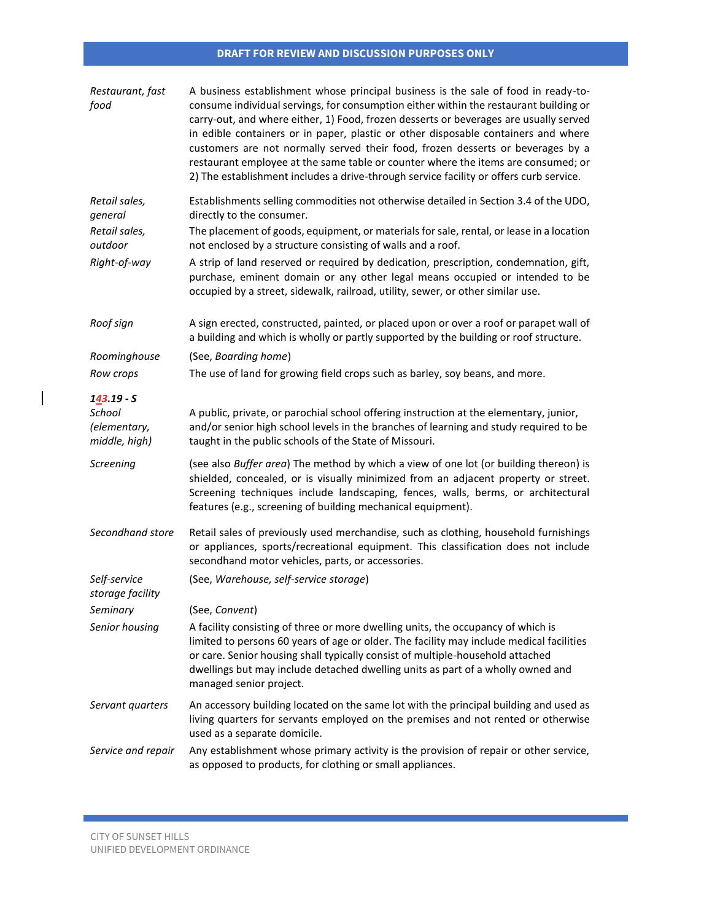| Restaurant, fast<br>food               | A business establishment whose principal business is the sale of food in ready-to-<br>consume individual servings, for consumption either within the restaurant building or<br>carry-out, and where either, 1) Food, frozen desserts or beverages are usually served<br>in edible containers or in paper, plastic or other disposable containers and where<br>customers are not normally served their food, frozen desserts or beverages by a<br>restaurant employee at the same table or counter where the items are consumed; or<br>2) The establishment includes a drive-through service facility or offers curb service. |
|----------------------------------------|------------------------------------------------------------------------------------------------------------------------------------------------------------------------------------------------------------------------------------------------------------------------------------------------------------------------------------------------------------------------------------------------------------------------------------------------------------------------------------------------------------------------------------------------------------------------------------------------------------------------------|
| Retail sales,<br>general               | Establishments selling commodities not otherwise detailed in Section 3.4 of the UDO,<br>directly to the consumer.                                                                                                                                                                                                                                                                                                                                                                                                                                                                                                            |
| Retail sales,<br>outdoor               | The placement of goods, equipment, or materials for sale, rental, or lease in a location<br>not enclosed by a structure consisting of walls and a roof.                                                                                                                                                                                                                                                                                                                                                                                                                                                                      |
| Right-of-way                           | A strip of land reserved or required by dedication, prescription, condemnation, gift,<br>purchase, eminent domain or any other legal means occupied or intended to be<br>occupied by a street, sidewalk, railroad, utility, sewer, or other similar use.                                                                                                                                                                                                                                                                                                                                                                     |
| Roof sign                              | A sign erected, constructed, painted, or placed upon or over a roof or parapet wall of<br>a building and which is wholly or partly supported by the building or roof structure.                                                                                                                                                                                                                                                                                                                                                                                                                                              |
| Roominghouse                           | (See, Boarding home)                                                                                                                                                                                                                                                                                                                                                                                                                                                                                                                                                                                                         |
| Row crops                              | The use of land for growing field crops such as barley, soy beans, and more.                                                                                                                                                                                                                                                                                                                                                                                                                                                                                                                                                 |
| $143.19 - S$<br>School<br>(elementary, | A public, private, or parochial school offering instruction at the elementary, junior,<br>and/or senior high school levels in the branches of learning and study required to be                                                                                                                                                                                                                                                                                                                                                                                                                                              |
| middle, high)                          | taught in the public schools of the State of Missouri.                                                                                                                                                                                                                                                                                                                                                                                                                                                                                                                                                                       |
| Screening                              | (see also Buffer area) The method by which a view of one lot (or building thereon) is<br>shielded, concealed, or is visually minimized from an adjacent property or street.<br>Screening techniques include landscaping, fences, walls, berms, or architectural<br>features (e.g., screening of building mechanical equipment).                                                                                                                                                                                                                                                                                              |
| Secondhand store                       | Retail sales of previously used merchandise, such as clothing, household furnishings<br>or appliances, sports/recreational equipment. This classification does not include<br>secondhand motor vehicles, parts, or accessories.                                                                                                                                                                                                                                                                                                                                                                                              |
| Self-service<br>storage facility       | (See, Warehouse, self-service storage)                                                                                                                                                                                                                                                                                                                                                                                                                                                                                                                                                                                       |
| Seminary                               | (See, Convent)                                                                                                                                                                                                                                                                                                                                                                                                                                                                                                                                                                                                               |
| Senior housing                         | A facility consisting of three or more dwelling units, the occupancy of which is<br>limited to persons 60 years of age or older. The facility may include medical facilities<br>or care. Senior housing shall typically consist of multiple-household attached<br>dwellings but may include detached dwelling units as part of a wholly owned and<br>managed senior project.                                                                                                                                                                                                                                                 |
| Servant quarters                       | An accessory building located on the same lot with the principal building and used as<br>living quarters for servants employed on the premises and not rented or otherwise<br>used as a separate domicile.                                                                                                                                                                                                                                                                                                                                                                                                                   |
| Service and repair                     | Any establishment whose primary activity is the provision of repair or other service,<br>as opposed to products, for clothing or small appliances.                                                                                                                                                                                                                                                                                                                                                                                                                                                                           |

 $\mathcal{L}(\mathcal{L}^{\mathcal{L}}_{\mathcal{L}})$  and the set of the set of the set of the set of the set of the set of the set of the set of the set of the set of the set of the set of the set of the set of the set of the set of the set of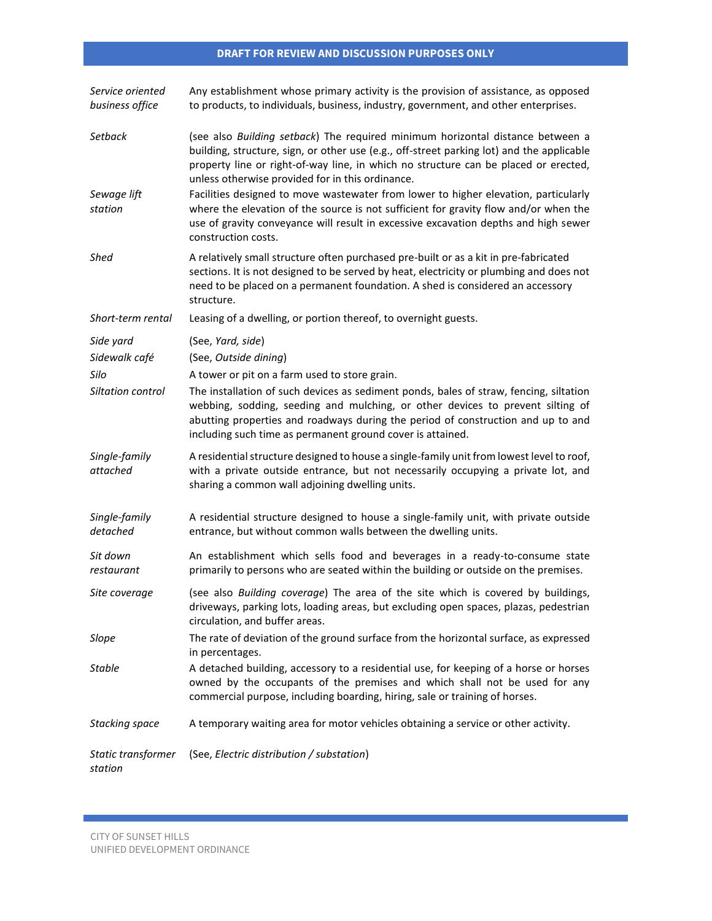| Service oriented<br>business office | Any establishment whose primary activity is the provision of assistance, as opposed<br>to products, to individuals, business, industry, government, and other enterprises.                                                                                                                                                 |
|-------------------------------------|----------------------------------------------------------------------------------------------------------------------------------------------------------------------------------------------------------------------------------------------------------------------------------------------------------------------------|
| Setback                             | (see also Building setback) The required minimum horizontal distance between a<br>building, structure, sign, or other use (e.g., off-street parking lot) and the applicable<br>property line or right-of-way line, in which no structure can be placed or erected,<br>unless otherwise provided for in this ordinance.     |
| Sewage lift<br>station              | Facilities designed to move wastewater from lower to higher elevation, particularly<br>where the elevation of the source is not sufficient for gravity flow and/or when the<br>use of gravity conveyance will result in excessive excavation depths and high sewer<br>construction costs.                                  |
| Shed                                | A relatively small structure often purchased pre-built or as a kit in pre-fabricated<br>sections. It is not designed to be served by heat, electricity or plumbing and does not<br>need to be placed on a permanent foundation. A shed is considered an accessory<br>structure.                                            |
| Short-term rental                   | Leasing of a dwelling, or portion thereof, to overnight guests.                                                                                                                                                                                                                                                            |
| Side yard                           | (See, Yard, side)                                                                                                                                                                                                                                                                                                          |
| Sidewalk café                       | (See, Outside dining)                                                                                                                                                                                                                                                                                                      |
| Silo                                | A tower or pit on a farm used to store grain.                                                                                                                                                                                                                                                                              |
| Siltation control                   | The installation of such devices as sediment ponds, bales of straw, fencing, siltation<br>webbing, sodding, seeding and mulching, or other devices to prevent silting of<br>abutting properties and roadways during the period of construction and up to and<br>including such time as permanent ground cover is attained. |
| Single-family<br>attached           | A residential structure designed to house a single-family unit from lowest level to roof,<br>with a private outside entrance, but not necessarily occupying a private lot, and<br>sharing a common wall adjoining dwelling units.                                                                                          |
| Single-family<br>detached           | A residential structure designed to house a single-family unit, with private outside<br>entrance, but without common walls between the dwelling units.                                                                                                                                                                     |
| Sit down<br>restaurant              | An establishment which sells food and beverages in a ready-to-consume state<br>primarily to persons who are seated within the building or outside on the premises.                                                                                                                                                         |
| Site coverage                       | (see also Building coverage) The area of the site which is covered by buildings,<br>driveways, parking lots, loading areas, but excluding open spaces, plazas, pedestrian<br>circulation, and buffer areas.                                                                                                                |
| Slope                               | The rate of deviation of the ground surface from the horizontal surface, as expressed<br>in percentages.                                                                                                                                                                                                                   |
| <b>Stable</b>                       | A detached building, accessory to a residential use, for keeping of a horse or horses<br>owned by the occupants of the premises and which shall not be used for any<br>commercial purpose, including boarding, hiring, sale or training of horses.                                                                         |
| Stacking space                      | A temporary waiting area for motor vehicles obtaining a service or other activity.                                                                                                                                                                                                                                         |
| Static transformer<br>station       | (See, Electric distribution / substation)                                                                                                                                                                                                                                                                                  |

 $\mathcal{L}^{\text{max}}_{\text{max}}$  and  $\mathcal{L}^{\text{max}}_{\text{max}}$  and  $\mathcal{L}^{\text{max}}_{\text{max}}$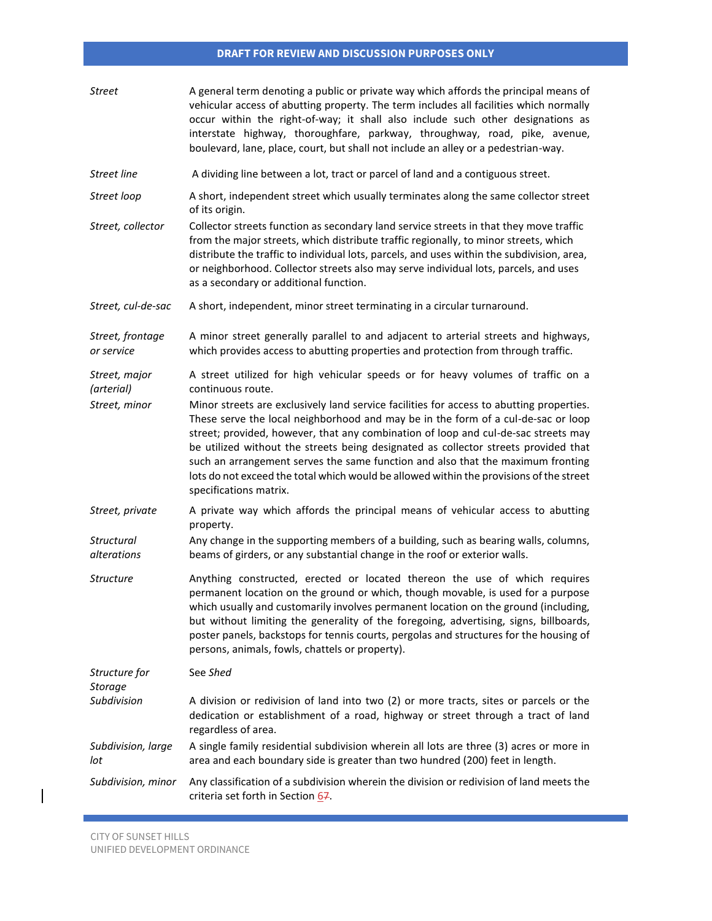| Street                           | A general term denoting a public or private way which affords the principal means of<br>vehicular access of abutting property. The term includes all facilities which normally<br>occur within the right-of-way; it shall also include such other designations as<br>interstate highway, thoroughfare, parkway, throughway, road, pike, avenue,<br>boulevard, lane, place, court, but shall not include an alley or a pedestrian-way.                                                                                                                              |
|----------------------------------|--------------------------------------------------------------------------------------------------------------------------------------------------------------------------------------------------------------------------------------------------------------------------------------------------------------------------------------------------------------------------------------------------------------------------------------------------------------------------------------------------------------------------------------------------------------------|
| Street line                      | A dividing line between a lot, tract or parcel of land and a contiguous street.                                                                                                                                                                                                                                                                                                                                                                                                                                                                                    |
| Street loop                      | A short, independent street which usually terminates along the same collector street<br>of its origin.                                                                                                                                                                                                                                                                                                                                                                                                                                                             |
| Street, collector                | Collector streets function as secondary land service streets in that they move traffic<br>from the major streets, which distribute traffic regionally, to minor streets, which<br>distribute the traffic to individual lots, parcels, and uses within the subdivision, area,<br>or neighborhood. Collector streets also may serve individual lots, parcels, and uses<br>as a secondary or additional function.                                                                                                                                                     |
| Street, cul-de-sac               | A short, independent, minor street terminating in a circular turnaround.                                                                                                                                                                                                                                                                                                                                                                                                                                                                                           |
| Street, frontage<br>or service   | A minor street generally parallel to and adjacent to arterial streets and highways,<br>which provides access to abutting properties and protection from through traffic.                                                                                                                                                                                                                                                                                                                                                                                           |
| Street, major<br>(arterial)      | A street utilized for high vehicular speeds or for heavy volumes of traffic on a<br>continuous route.                                                                                                                                                                                                                                                                                                                                                                                                                                                              |
| Street, minor                    | Minor streets are exclusively land service facilities for access to abutting properties.<br>These serve the local neighborhood and may be in the form of a cul-de-sac or loop<br>street; provided, however, that any combination of loop and cul-de-sac streets may<br>be utilized without the streets being designated as collector streets provided that<br>such an arrangement serves the same function and also that the maximum fronting<br>lots do not exceed the total which would be allowed within the provisions of the street<br>specifications matrix. |
| Street, private                  | A private way which affords the principal means of vehicular access to abutting<br>property.                                                                                                                                                                                                                                                                                                                                                                                                                                                                       |
| <b>Structural</b><br>alterations | Any change in the supporting members of a building, such as bearing walls, columns,<br>beams of girders, or any substantial change in the roof or exterior walls.                                                                                                                                                                                                                                                                                                                                                                                                  |
| <b>Structure</b>                 | Anything constructed, erected or located thereon the use of which requires<br>permanent location on the ground or which, though movable, is used for a purpose<br>which usually and customarily involves permanent location on the ground (including,<br>but without limiting the generality of the foregoing, advertising, signs, billboards,<br>poster panels, backstops for tennis courts, pergolas and structures for the housing of<br>persons, animals, fowls, chattels or property).                                                                        |
| Structure for<br><b>Storage</b>  | See Shed                                                                                                                                                                                                                                                                                                                                                                                                                                                                                                                                                           |
| Subdivision                      | A division or redivision of land into two (2) or more tracts, sites or parcels or the<br>dedication or establishment of a road, highway or street through a tract of land<br>regardless of area.                                                                                                                                                                                                                                                                                                                                                                   |
| Subdivision, large<br>lot        | A single family residential subdivision wherein all lots are three (3) acres or more in<br>area and each boundary side is greater than two hundred (200) feet in length.                                                                                                                                                                                                                                                                                                                                                                                           |
| Subdivision, minor               | Any classification of a subdivision wherein the division or redivision of land meets the<br>criteria set forth in Section 67.                                                                                                                                                                                                                                                                                                                                                                                                                                      |

 $\mathcal{L}(\mathcal{L}^{\mathcal{L}}_{\mathcal{L}})$  and the set of the set of the set of the set of the set of the set of the set of the set of the set of the set of the set of the set of the set of the set of the set of the set of the set of

 $\begin{array}{c} \hline \end{array}$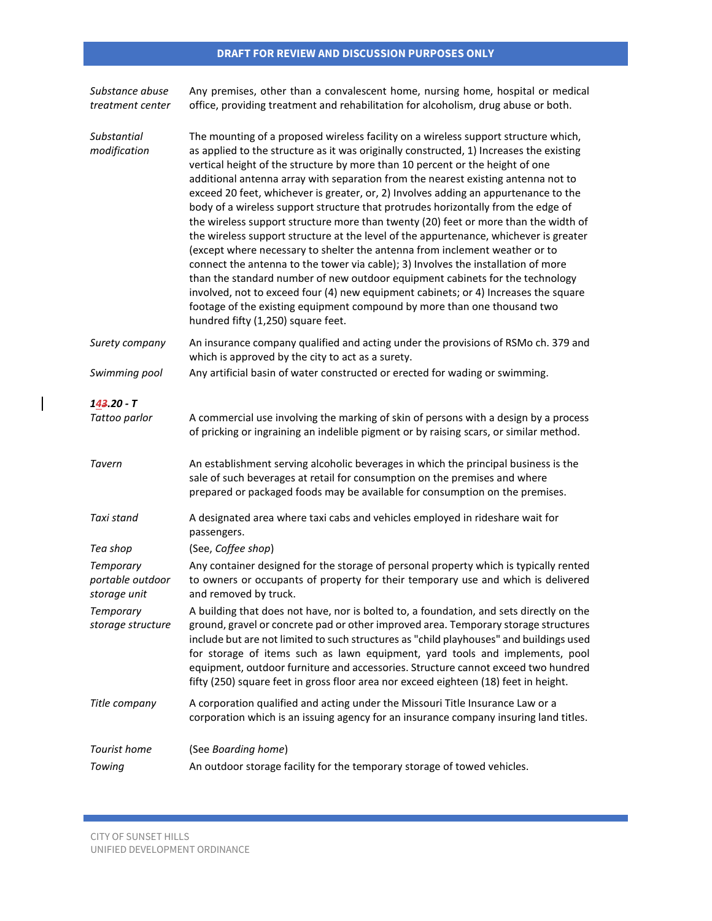| Substance abuse<br>treatment center                  | Any premises, other than a convalescent home, nursing home, hospital or medical<br>office, providing treatment and rehabilitation for alcoholism, drug abuse or both.                                                                                                                                                                                                                                                                                                                                                                                                                                                                                                                                                                                                                                                                                                                                                                                                                                                                                                                                                                                                          |
|------------------------------------------------------|--------------------------------------------------------------------------------------------------------------------------------------------------------------------------------------------------------------------------------------------------------------------------------------------------------------------------------------------------------------------------------------------------------------------------------------------------------------------------------------------------------------------------------------------------------------------------------------------------------------------------------------------------------------------------------------------------------------------------------------------------------------------------------------------------------------------------------------------------------------------------------------------------------------------------------------------------------------------------------------------------------------------------------------------------------------------------------------------------------------------------------------------------------------------------------|
| Substantial<br>modification                          | The mounting of a proposed wireless facility on a wireless support structure which,<br>as applied to the structure as it was originally constructed, 1) Increases the existing<br>vertical height of the structure by more than 10 percent or the height of one<br>additional antenna array with separation from the nearest existing antenna not to<br>exceed 20 feet, whichever is greater, or, 2) Involves adding an appurtenance to the<br>body of a wireless support structure that protrudes horizontally from the edge of<br>the wireless support structure more than twenty (20) feet or more than the width of<br>the wireless support structure at the level of the appurtenance, whichever is greater<br>(except where necessary to shelter the antenna from inclement weather or to<br>connect the antenna to the tower via cable); 3) Involves the installation of more<br>than the standard number of new outdoor equipment cabinets for the technology<br>involved, not to exceed four (4) new equipment cabinets; or 4) Increases the square<br>footage of the existing equipment compound by more than one thousand two<br>hundred fifty (1,250) square feet. |
| Surety company                                       | An insurance company qualified and acting under the provisions of RSMo ch. 379 and<br>which is approved by the city to act as a surety.                                                                                                                                                                                                                                                                                                                                                                                                                                                                                                                                                                                                                                                                                                                                                                                                                                                                                                                                                                                                                                        |
| Swimming pool                                        | Any artificial basin of water constructed or erected for wading or swimming.                                                                                                                                                                                                                                                                                                                                                                                                                                                                                                                                                                                                                                                                                                                                                                                                                                                                                                                                                                                                                                                                                                   |
| $143.20 - T$                                         |                                                                                                                                                                                                                                                                                                                                                                                                                                                                                                                                                                                                                                                                                                                                                                                                                                                                                                                                                                                                                                                                                                                                                                                |
| Tattoo parlor                                        | A commercial use involving the marking of skin of persons with a design by a process<br>of pricking or ingraining an indelible pigment or by raising scars, or similar method.                                                                                                                                                                                                                                                                                                                                                                                                                                                                                                                                                                                                                                                                                                                                                                                                                                                                                                                                                                                                 |
| Tavern                                               | An establishment serving alcoholic beverages in which the principal business is the<br>sale of such beverages at retail for consumption on the premises and where<br>prepared or packaged foods may be available for consumption on the premises.                                                                                                                                                                                                                                                                                                                                                                                                                                                                                                                                                                                                                                                                                                                                                                                                                                                                                                                              |
| Taxi stand                                           | A designated area where taxi cabs and vehicles employed in rideshare wait for<br>passengers.                                                                                                                                                                                                                                                                                                                                                                                                                                                                                                                                                                                                                                                                                                                                                                                                                                                                                                                                                                                                                                                                                   |
| Tea shop                                             | (See, Coffee shop)                                                                                                                                                                                                                                                                                                                                                                                                                                                                                                                                                                                                                                                                                                                                                                                                                                                                                                                                                                                                                                                                                                                                                             |
| <b>Temporary</b><br>portable outdoor<br>storage unit | Any container designed for the storage of personal property which is typically rented<br>to owners or occupants of property for their temporary use and which is delivered<br>and removed by truck.                                                                                                                                                                                                                                                                                                                                                                                                                                                                                                                                                                                                                                                                                                                                                                                                                                                                                                                                                                            |
| Temporary<br>storage structure                       | A building that does not have, nor is bolted to, a foundation, and sets directly on the<br>ground, gravel or concrete pad or other improved area. Temporary storage structures<br>include but are not limited to such structures as "child playhouses" and buildings used<br>for storage of items such as lawn equipment, yard tools and implements, pool<br>equipment, outdoor furniture and accessories. Structure cannot exceed two hundred<br>fifty (250) square feet in gross floor area nor exceed eighteen (18) feet in height.                                                                                                                                                                                                                                                                                                                                                                                                                                                                                                                                                                                                                                         |
| Title company                                        | A corporation qualified and acting under the Missouri Title Insurance Law or a<br>corporation which is an issuing agency for an insurance company insuring land titles.                                                                                                                                                                                                                                                                                                                                                                                                                                                                                                                                                                                                                                                                                                                                                                                                                                                                                                                                                                                                        |
| Tourist home                                         | (See Boarding home)                                                                                                                                                                                                                                                                                                                                                                                                                                                                                                                                                                                                                                                                                                                                                                                                                                                                                                                                                                                                                                                                                                                                                            |
| Towing                                               | An outdoor storage facility for the temporary storage of towed vehicles.                                                                                                                                                                                                                                                                                                                                                                                                                                                                                                                                                                                                                                                                                                                                                                                                                                                                                                                                                                                                                                                                                                       |

 $\mathcal{L}^{\text{max}}_{\text{max}}$  and  $\mathcal{L}^{\text{max}}_{\text{max}}$  and  $\mathcal{L}^{\text{max}}_{\text{max}}$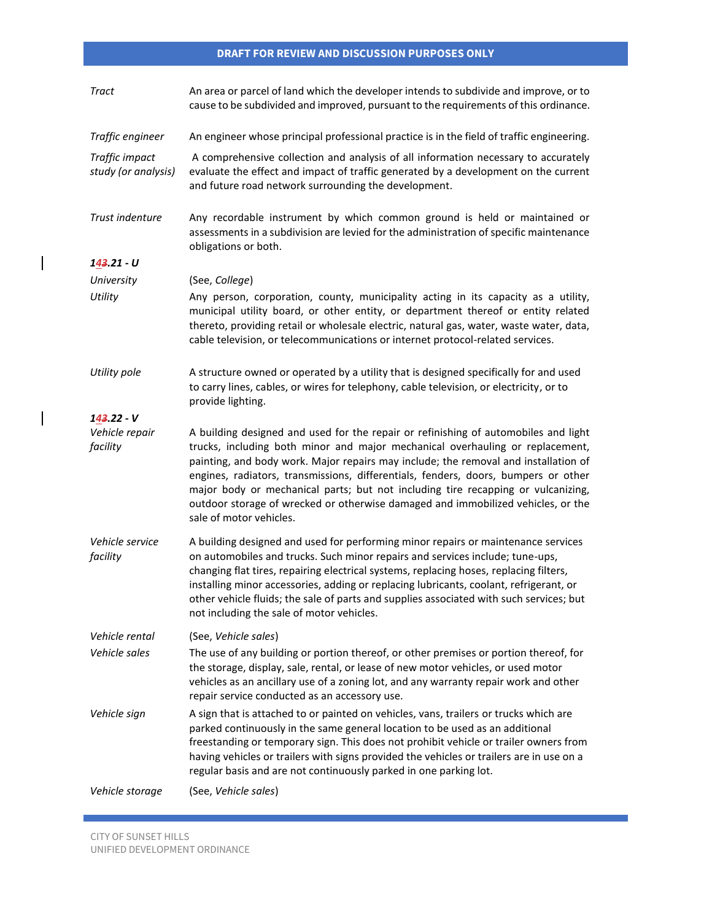| <b>Tract</b>                          | An area or parcel of land which the developer intends to subdivide and improve, or to<br>cause to be subdivided and improved, pursuant to the requirements of this ordinance.                                                                                                                                                                                                                                                                                                                                                                        |
|---------------------------------------|------------------------------------------------------------------------------------------------------------------------------------------------------------------------------------------------------------------------------------------------------------------------------------------------------------------------------------------------------------------------------------------------------------------------------------------------------------------------------------------------------------------------------------------------------|
| Traffic engineer                      | An engineer whose principal professional practice is in the field of traffic engineering.                                                                                                                                                                                                                                                                                                                                                                                                                                                            |
| Traffic impact<br>study (or analysis) | A comprehensive collection and analysis of all information necessary to accurately<br>evaluate the effect and impact of traffic generated by a development on the current<br>and future road network surrounding the development.                                                                                                                                                                                                                                                                                                                    |
| Trust indenture                       | Any recordable instrument by which common ground is held or maintained or<br>assessments in a subdivision are levied for the administration of specific maintenance<br>obligations or both.                                                                                                                                                                                                                                                                                                                                                          |
| 143.21 - U                            |                                                                                                                                                                                                                                                                                                                                                                                                                                                                                                                                                      |
| University                            | (See, College)                                                                                                                                                                                                                                                                                                                                                                                                                                                                                                                                       |
| Utility                               | Any person, corporation, county, municipality acting in its capacity as a utility,<br>municipal utility board, or other entity, or department thereof or entity related<br>thereto, providing retail or wholesale electric, natural gas, water, waste water, data,<br>cable television, or telecommunications or internet protocol-related services.                                                                                                                                                                                                 |
| Utility pole                          | A structure owned or operated by a utility that is designed specifically for and used<br>to carry lines, cables, or wires for telephony, cable television, or electricity, or to<br>provide lighting.                                                                                                                                                                                                                                                                                                                                                |
| $143.22 - V$                          |                                                                                                                                                                                                                                                                                                                                                                                                                                                                                                                                                      |
| Vehicle repair<br>facility            | A building designed and used for the repair or refinishing of automobiles and light<br>trucks, including both minor and major mechanical overhauling or replacement,<br>painting, and body work. Major repairs may include; the removal and installation of<br>engines, radiators, transmissions, differentials, fenders, doors, bumpers or other<br>major body or mechanical parts; but not including tire recapping or vulcanizing,<br>outdoor storage of wrecked or otherwise damaged and immobilized vehicles, or the<br>sale of motor vehicles. |
| Vehicle service<br>facility           | A building designed and used for performing minor repairs or maintenance services<br>on automobiles and trucks. Such minor repairs and services include; tune-ups,<br>changing flat tires, repairing electrical systems, replacing hoses, replacing filters,<br>installing minor accessories, adding or replacing lubricants, coolant, refrigerant, or<br>other vehicle fluids; the sale of parts and supplies associated with such services; but<br>not including the sale of motor vehicles.                                                       |
| Vehicle rental                        | (See, Vehicle sales)                                                                                                                                                                                                                                                                                                                                                                                                                                                                                                                                 |
| Vehicle sales                         | The use of any building or portion thereof, or other premises or portion thereof, for<br>the storage, display, sale, rental, or lease of new motor vehicles, or used motor<br>vehicles as an ancillary use of a zoning lot, and any warranty repair work and other<br>repair service conducted as an accessory use.                                                                                                                                                                                                                                  |
| Vehicle sign                          | A sign that is attached to or painted on vehicles, vans, trailers or trucks which are<br>parked continuously in the same general location to be used as an additional<br>freestanding or temporary sign. This does not prohibit vehicle or trailer owners from<br>having vehicles or trailers with signs provided the vehicles or trailers are in use on a<br>regular basis and are not continuously parked in one parking lot.                                                                                                                      |
| Vehicle storage                       | (See, Vehicle sales)                                                                                                                                                                                                                                                                                                                                                                                                                                                                                                                                 |

 $\mathcal{L}(\mathcal{L}(\mathcal{L}(\mathcal{L}(\mathcal{L}(\mathcal{L}(\mathcal{L}(\mathcal{L}(\mathcal{L}(\mathcal{L}(\mathcal{L}(\mathcal{L}(\mathcal{L}(\mathcal{L}(\mathcal{L}(\mathcal{L}(\mathcal{L}(\mathcal{L}(\mathcal{L}(\mathcal{L}(\mathcal{L}(\mathcal{L}(\mathcal{L}(\mathcal{L}(\mathcal{L}(\mathcal{L}(\mathcal{L}(\mathcal{L}(\mathcal{L}(\mathcal{L}(\mathcal{L}(\mathcal{L}(\mathcal{L}(\mathcal{L}(\mathcal{L}(\mathcal{L}(\mathcal{$ 

 $\overline{\phantom{a}}$ 

 $\begin{array}{c} \rule{0pt}{2ex} \rule{0pt}{2ex} \rule{0pt}{2ex} \rule{0pt}{2ex} \rule{0pt}{2ex} \rule{0pt}{2ex} \rule{0pt}{2ex} \rule{0pt}{2ex} \rule{0pt}{2ex} \rule{0pt}{2ex} \rule{0pt}{2ex} \rule{0pt}{2ex} \rule{0pt}{2ex} \rule{0pt}{2ex} \rule{0pt}{2ex} \rule{0pt}{2ex} \rule{0pt}{2ex} \rule{0pt}{2ex} \rule{0pt}{2ex} \rule{0pt}{2ex} \rule{0pt}{2ex} \rule{0pt}{2ex} \rule{0pt}{2ex} \rule{0pt}{$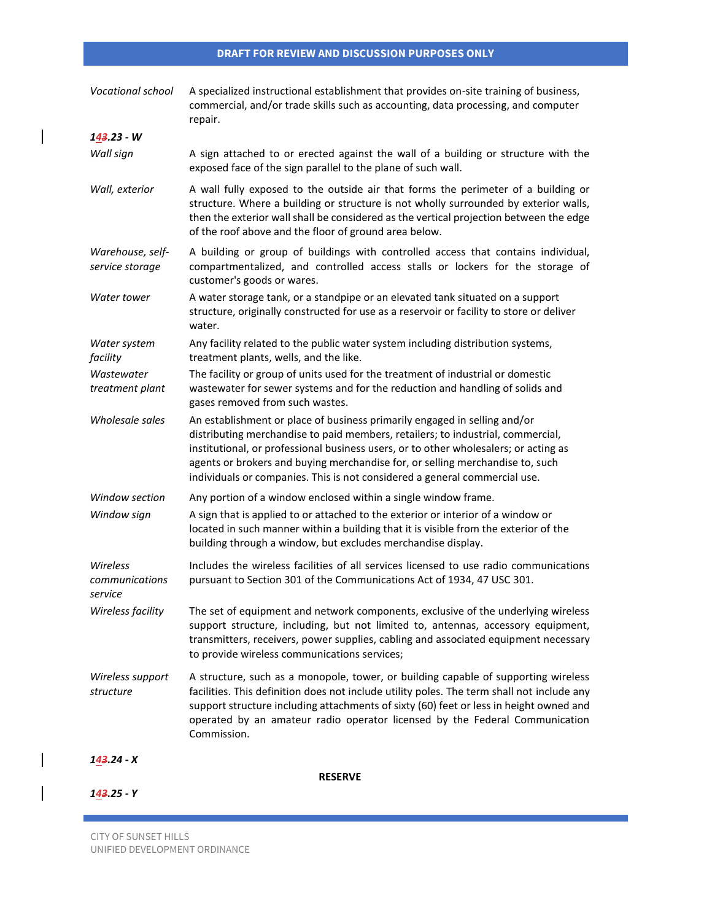| Vocational school                     | A specialized instructional establishment that provides on-site training of business,<br>commercial, and/or trade skills such as accounting, data processing, and computer<br>repair.                                                                                                                                                                                                                               |
|---------------------------------------|---------------------------------------------------------------------------------------------------------------------------------------------------------------------------------------------------------------------------------------------------------------------------------------------------------------------------------------------------------------------------------------------------------------------|
| 143.23 - W                            |                                                                                                                                                                                                                                                                                                                                                                                                                     |
| Wall sign                             | A sign attached to or erected against the wall of a building or structure with the<br>exposed face of the sign parallel to the plane of such wall.                                                                                                                                                                                                                                                                  |
| Wall, exterior                        | A wall fully exposed to the outside air that forms the perimeter of a building or<br>structure. Where a building or structure is not wholly surrounded by exterior walls,<br>then the exterior wall shall be considered as the vertical projection between the edge<br>of the roof above and the floor of ground area below.                                                                                        |
| Warehouse, self-<br>service storage   | A building or group of buildings with controlled access that contains individual,<br>compartmentalized, and controlled access stalls or lockers for the storage of<br>customer's goods or wares.                                                                                                                                                                                                                    |
| Water tower                           | A water storage tank, or a standpipe or an elevated tank situated on a support<br>structure, originally constructed for use as a reservoir or facility to store or deliver<br>water.                                                                                                                                                                                                                                |
| Water system<br>facility              | Any facility related to the public water system including distribution systems,<br>treatment plants, wells, and the like.                                                                                                                                                                                                                                                                                           |
| Wastewater<br>treatment plant         | The facility or group of units used for the treatment of industrial or domestic<br>wastewater for sewer systems and for the reduction and handling of solids and<br>gases removed from such wastes.                                                                                                                                                                                                                 |
| Wholesale sales                       | An establishment or place of business primarily engaged in selling and/or<br>distributing merchandise to paid members, retailers; to industrial, commercial,<br>institutional, or professional business users, or to other wholesalers; or acting as<br>agents or brokers and buying merchandise for, or selling merchandise to, such<br>individuals or companies. This is not considered a general commercial use. |
| Window section                        | Any portion of a window enclosed within a single window frame.                                                                                                                                                                                                                                                                                                                                                      |
| Window sign                           | A sign that is applied to or attached to the exterior or interior of a window or<br>located in such manner within a building that it is visible from the exterior of the<br>building through a window, but excludes merchandise display.                                                                                                                                                                            |
| Wireless<br>communications<br>service | Includes the wireless facilities of all services licensed to use radio communications<br>pursuant to Section 301 of the Communications Act of 1934, 47 USC 301.                                                                                                                                                                                                                                                     |
| Wireless facility                     | The set of equipment and network components, exclusive of the underlying wireless<br>support structure, including, but not limited to, antennas, accessory equipment,<br>transmitters, receivers, power supplies, cabling and associated equipment necessary<br>to provide wireless communications services;                                                                                                        |
| Wireless support<br>structure         | A structure, such as a monopole, tower, or building capable of supporting wireless<br>facilities. This definition does not include utility poles. The term shall not include any<br>support structure including attachments of sixty (60) feet or less in height owned and<br>operated by an amateur radio operator licensed by the Federal Communication<br>Commission.                                            |
| 143.24 - X                            |                                                                                                                                                                                                                                                                                                                                                                                                                     |
|                                       | <b>RESERVE</b>                                                                                                                                                                                                                                                                                                                                                                                                      |
| 143.25 - Y                            |                                                                                                                                                                                                                                                                                                                                                                                                                     |

CITY OF SUNSET HILLS UNIFIED DEVELOPMENT ORDINANCE

 $\begin{array}{c} \hline \end{array}$ 

 $\overline{\phantom{a}}$